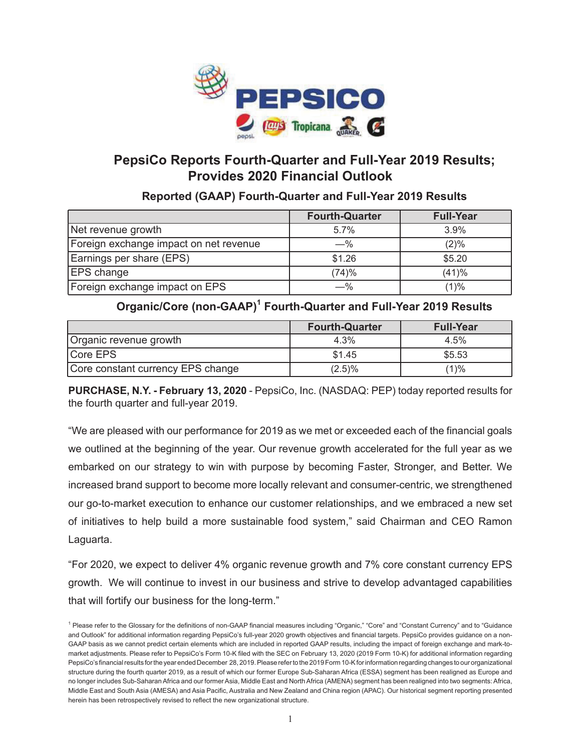

# **PepsiCo Reports Fourth-Quarter and Full-Year 2019 Results; Provides 2020 Financial Outlook**

**Reported (GAAP) Fourth-Quarter and Full-Year 2019 Results**

|                                        | <b>Fourth-Quarter</b> | <b>Full-Year</b> |
|----------------------------------------|-----------------------|------------------|
| Net revenue growth                     | 5.7%                  | 3.9%             |
| Foreign exchange impact on net revenue | $-$ %                 | $(2)\%$          |
| Earnings per share (EPS)               | \$1.26                | \$5.20           |
| <b>EPS</b> change                      | (74)%                 | (41)%            |
| Foreign exchange impact on EPS         | —%                    | (1)%             |

**Organic/Core (non-GAAP)1 Fourth-Quarter and Full-Year 2019 Results**

|                                   | <b>Fourth-Quarter</b> | <b>Full-Year</b> |
|-----------------------------------|-----------------------|------------------|
| Organic revenue growth            | 4.3%                  | 4.5%             |
| Core EPS                          | \$1.45                | \$5.53           |
| Core constant currency EPS change | $(2.5)\%$             | $(1)$ %          |

**PURCHASE, N.Y. - February 13, 2020** - PepsiCo, Inc. (NASDAQ: PEP) today reported results for the fourth quarter and full-year 2019.

"We are pleased with our performance for 2019 as we met or exceeded each of the financial goals we outlined at the beginning of the year. Our revenue growth accelerated for the full year as we embarked on our strategy to win with purpose by becoming Faster, Stronger, and Better. We increased brand support to become more locally relevant and consumer-centric, we strengthened our go-to-market execution to enhance our customer relationships, and we embraced a new set of initiatives to help build a more sustainable food system," said Chairman and CEO Ramon Laguarta.

"For 2020, we expect to deliver 4% organic revenue growth and 7% core constant currency EPS growth. We will continue to invest in our business and strive to develop advantaged capabilities that will fortify our business for the long-term."

<sup>&</sup>lt;sup>1</sup> Please refer to the Glossary for the definitions of non-GAAP financial measures including "Organic," "Core" and "Constant Currency" and to "Guidance and Outlook" for additional information regarding PepsiCo's full-year 2020 growth objectives and financial targets. PepsiCo provides guidance on a non-GAAP basis as we cannot predict certain elements which are included in reported GAAP results, including the impact of foreign exchange and mark-tomarket adjustments. Please refer to PepsiCo's Form 10-K filed with the SEC on February 13, 2020 (2019 Form 10-K) for additional information regarding PepsiCo's financial results for the year ended December 28, 2019. Please refer to the 2019 Form 10-K for information regarding changes to our organizational structure during the fourth quarter 2019, as a result of which our former Europe Sub-Saharan Africa (ESSA) segment has been realigned as Europe and no longer includes Sub-Saharan Africa and our former Asia, Middle East and North Africa (AMENA) segment has been realigned into two segments: Africa, Middle East and South Asia (AMESA) and Asia Pacific, Australia and New Zealand and China region (APAC). Our historical segment reporting presented herein has been retrospectively revised to reflect the new organizational structure.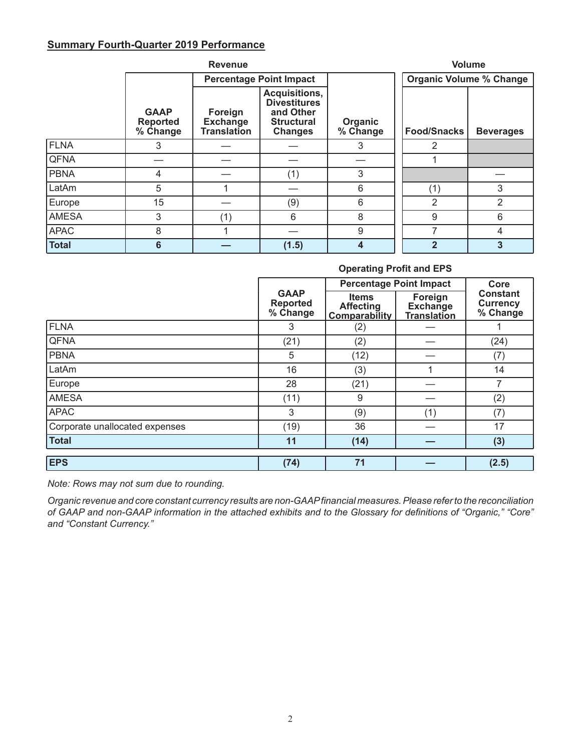## **Summary Fourth-Quarter 2019 Performance**

|              |                                            |                                                  |                                                                                                 | <b>Volume</b>       |                    |                                |
|--------------|--------------------------------------------|--------------------------------------------------|-------------------------------------------------------------------------------------------------|---------------------|--------------------|--------------------------------|
|              |                                            |                                                  | <b>Percentage Point Impact</b>                                                                  |                     |                    | <b>Organic Volume % Change</b> |
|              | <b>GAAP</b><br><b>Reported</b><br>% Change | Foreign<br><b>Exchange</b><br><b>Translation</b> | <b>Acquisitions,</b><br><b>Divestitures</b><br>and Other<br><b>Structural</b><br><b>Changes</b> | Organic<br>% Change | <b>Food/Snacks</b> | <b>Beverages</b>               |
| FLNA         | 3                                          |                                                  |                                                                                                 | 3                   | 2                  |                                |
| <b>QFNA</b>  |                                            |                                                  |                                                                                                 |                     |                    |                                |
| <b>PBNA</b>  | 4                                          |                                                  | (1)                                                                                             | 3                   |                    |                                |
| LatAm        | 5                                          |                                                  |                                                                                                 | 6                   | (1)                | 3                              |
| Europe       | 15                                         |                                                  | (9)                                                                                             | 6                   | 2                  | 2                              |
| <b>AMESA</b> | 3                                          | (1)                                              | 6                                                                                               | 8                   | 9                  | 6                              |
| <b>APAC</b>  | 8                                          |                                                  |                                                                                                 | 9                   | 7                  | 4                              |
| <b>Total</b> | 6                                          |                                                  | (1.5)                                                                                           | 4                   | $\mathbf 2$        | 3                              |

### **Operating Profit and EPS**

|                                | <b>Percentage Point Impact</b>             |                                                          |                                                  |                                                |  |
|--------------------------------|--------------------------------------------|----------------------------------------------------------|--------------------------------------------------|------------------------------------------------|--|
|                                | <b>GAAP</b><br><b>Reported</b><br>% Change | <b>Items</b><br><b>Affecting</b><br><b>Comparability</b> | Foreign<br><b>Exchange</b><br><b>Translation</b> | <b>Constant</b><br><b>Currency</b><br>% Change |  |
| FLNA                           | 3                                          | (2)                                                      |                                                  |                                                |  |
| <b>QFNA</b>                    | (21)                                       | (2)                                                      |                                                  | (24)                                           |  |
| <b>PBNA</b>                    | 5                                          | (12)                                                     |                                                  | (7)                                            |  |
| LatAm                          | 16                                         | (3)                                                      |                                                  | 14                                             |  |
| Europe                         | 28                                         | (21)                                                     |                                                  | 7                                              |  |
| <b>AMESA</b>                   | (11)                                       | 9                                                        |                                                  | (2)                                            |  |
| <b>APAC</b>                    | 3                                          | (9)                                                      | (1)                                              | (7)                                            |  |
| Corporate unallocated expenses | (19)                                       | 36                                                       |                                                  | 17                                             |  |
| <b>Total</b>                   | 11                                         | (14)                                                     |                                                  | (3)                                            |  |
|                                |                                            |                                                          |                                                  |                                                |  |
| <b>EPS</b>                     | (74)                                       | 71                                                       |                                                  | (2.5)                                          |  |

*Note: Rows may not sum due to rounding.* 

*Organic revenue and core constant currency results are non-GAAP financial measures. Please refer to the reconciliation of GAAP and non-GAAP information in the attached exhibits and to the Glossary for definitions of "Organic," "Core" and "Constant Currency."*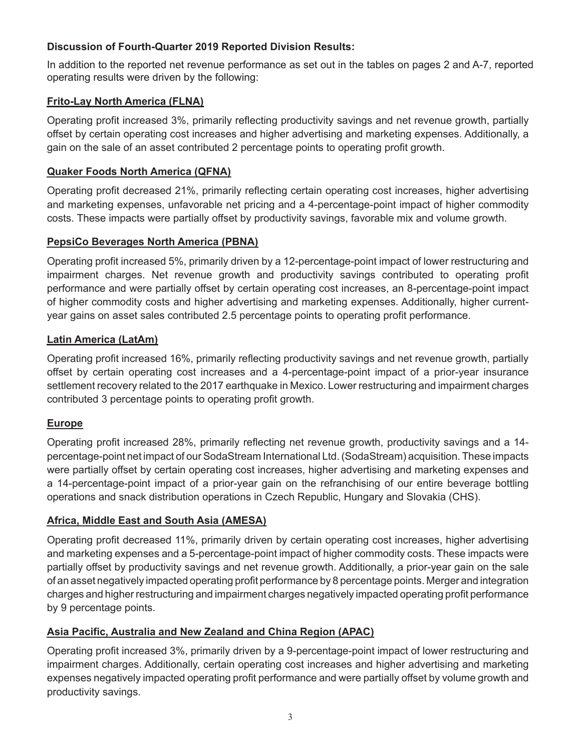## **Discussion of Fourth-Quarter 2019 Reported Division Results:**

In addition to the reported net revenue performance as set out in the tables on pages 2 and A-7, reported operating results were driven by the following:

## **Frito-Lay North America (FLNA)**

Operating profit increased 3%, primarily reflecting productivity savings and net revenue growth, partially offset by certain operating cost increases and higher advertising and marketing expenses. Additionally, a gain on the sale of an asset contributed 2 percentage points to operating profit growth.

## **Quaker Foods North America (QFNA)**

Operating profit decreased 21%, primarily reflecting certain operating cost increases, higher advertising and marketing expenses, unfavorable net pricing and a 4-percentage-point impact of higher commodity costs. These impacts were partially offset by productivity savings, favorable mix and volume growth.

## **PepsiCo Beverages North America (PBNA)**

Operating profit increased 5%, primarily driven by a 12-percentage-point impact of lower restructuring and impairment charges. Net revenue growth and productivity savings contributed to operating profit performance and were partially offset by certain operating cost increases, an 8-percentage-point impact of higher commodity costs and higher advertising and marketing expenses. Additionally, higher currentyear gains on asset sales contributed 2.5 percentage points to operating profit performance.

## **Latin America (LatAm)**

Operating profit increased 16%, primarily reflecting productivity savings and net revenue growth, partially offset by certain operating cost increases and a 4-percentage-point impact of a prior-year insurance settlement recovery related to the 2017 earthquake in Mexico. Lower restructuring and impairment charges contributed 3 percentage points to operating profit growth.

## **Europe**

Operating profit increased 28%, primarily reflecting net revenue growth, productivity savings and a 14 percentage-point net impact of our SodaStream International Ltd. (SodaStream) acquisition. These impacts were partially offset by certain operating cost increases, higher advertising and marketing expenses and a 14-percentage-point impact of a prior-year gain on the refranchising of our entire beverage bottling operations and snack distribution operations in Czech Republic, Hungary and Slovakia (CHS).

## **Africa, Middle East and South Asia (AMESA)**

Operating profit decreased 11%, primarily driven by certain operating cost increases, higher advertising and marketing expenses and a 5-percentage-point impact of higher commodity costs. These impacts were partially offset by productivity savings and net revenue growth. Additionally, a prior-year gain on the sale of an asset negatively impacted operating profit performance by 8 percentage points. Merger and integration charges and higher restructuring and impairment charges negatively impacted operating profit performance by 9 percentage points.

## **Asia Pacific, Australia and New Zealand and China Region (APAC)**

Operating profit increased 3%, primarily driven by a 9-percentage-point impact of lower restructuring and impairment charges. Additionally, certain operating cost increases and higher advertising and marketing expenses negatively impacted operating profit performance and were partially offset by volume growth and productivity savings.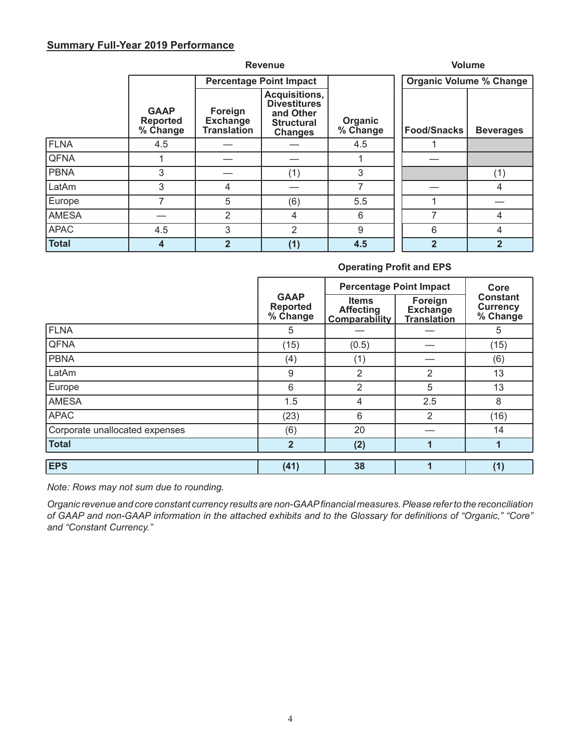### **Summary Full-Year 2019 Performance**

|              |                                            | <b>Volume</b>                                    |                                                                                          |                     |                                |                  |
|--------------|--------------------------------------------|--------------------------------------------------|------------------------------------------------------------------------------------------|---------------------|--------------------------------|------------------|
|              |                                            |                                                  | <b>Percentage Point Impact</b>                                                           |                     | <b>Organic Volume % Change</b> |                  |
|              | <b>GAAP</b><br><b>Reported</b><br>% Change | Foreign<br><b>Exchange</b><br><b>Translation</b> | Acquisitions,<br><b>Divestitures</b><br>and Other<br><b>Structural</b><br><b>Changes</b> | Organic<br>% Change | <b>Food/Snacks</b>             | <b>Beverages</b> |
| <b>FLNA</b>  | 4.5                                        |                                                  |                                                                                          | 4.5                 |                                |                  |
| <b>QFNA</b>  |                                            |                                                  |                                                                                          |                     |                                |                  |
| <b>PBNA</b>  | 3                                          |                                                  | (1)                                                                                      | 3                   |                                | (1)              |
| LatAm        | 3                                          | 4                                                |                                                                                          |                     |                                | 4                |
| Europe       |                                            | 5                                                | (6)                                                                                      | 5.5                 |                                |                  |
| <b>AMESA</b> |                                            | $\overline{2}$                                   | 4                                                                                        | 6                   | 7                              | 4                |
| <b>APAC</b>  | 4.5                                        | 3                                                | 2                                                                                        | 9                   | 6                              | 4                |
| <b>Total</b> | 4                                          | $\overline{2}$                                   | (1)                                                                                      | 4.5                 | $\overline{2}$                 | $\overline{2}$   |

### **Operating Profit and EPS**

|                                |                                            | <b>Percentage Point Impact</b>                           | Core                                             |                                                |  |  |  |  |  |  |  |  |  |  |  |  |  |  |    |
|--------------------------------|--------------------------------------------|----------------------------------------------------------|--------------------------------------------------|------------------------------------------------|--|--|--|--|--|--|--|--|--|--|--|--|--|--|----|
|                                | <b>GAAP</b><br><b>Reported</b><br>% Change | <b>Items</b><br><b>Affecting</b><br><b>Comparability</b> | Foreign<br><b>Exchange</b><br><b>Translation</b> | <b>Constant</b><br><b>Currency</b><br>% Change |  |  |  |  |  |  |  |  |  |  |  |  |  |  |    |
| <b>FLNA</b>                    | 5                                          |                                                          |                                                  | 5                                              |  |  |  |  |  |  |  |  |  |  |  |  |  |  |    |
| <b>QFNA</b>                    | (15)                                       | (0.5)                                                    |                                                  | (15)                                           |  |  |  |  |  |  |  |  |  |  |  |  |  |  |    |
| <b>PBNA</b>                    | (4)                                        | (1)                                                      |                                                  | (6)                                            |  |  |  |  |  |  |  |  |  |  |  |  |  |  |    |
| LatAm                          | $\overline{2}$<br>9                        | $\overline{2}$                                           |                                                  |                                                |  |  |  |  |  |  |  |  |  |  |  |  |  |  |    |
| Europe                         | 6                                          | 2                                                        | 5                                                |                                                |  |  |  |  |  |  |  |  |  |  |  |  |  |  | 13 |
| <b>AMESA</b>                   | 1.5                                        | 4                                                        | 2.5                                              | 8                                              |  |  |  |  |  |  |  |  |  |  |  |  |  |  |    |
| <b>APAC</b>                    | (23)                                       | 6                                                        | 2                                                | (16)                                           |  |  |  |  |  |  |  |  |  |  |  |  |  |  |    |
| Corporate unallocated expenses | (6)                                        | 20                                                       |                                                  | 14                                             |  |  |  |  |  |  |  |  |  |  |  |  |  |  |    |
| <b>Total</b>                   | $\overline{2}$                             | (2)                                                      |                                                  |                                                |  |  |  |  |  |  |  |  |  |  |  |  |  |  |    |
| <b>EPS</b>                     | (41)                                       | 38                                                       |                                                  | (1)                                            |  |  |  |  |  |  |  |  |  |  |  |  |  |  |    |

*Note: Rows may not sum due to rounding.* 

*Organic revenue and core constant currency results are non-GAAP financial measures. Please refer to the reconciliation of GAAP and non-GAAP information in the attached exhibits and to the Glossary for definitions of "Organic," "Core" and "Constant Currency."*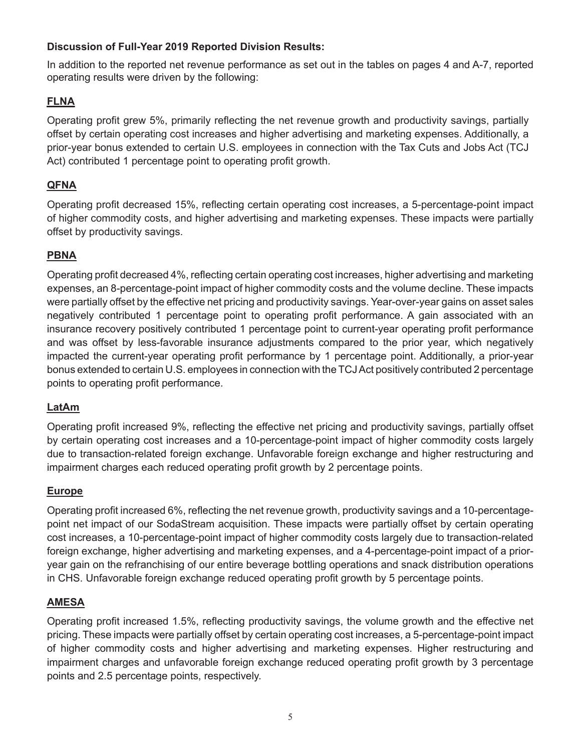## **Discussion of Full-Year 2019 Reported Division Results:**

In addition to the reported net revenue performance as set out in the tables on pages 4 and A-7, reported operating results were driven by the following:

## **FLNA**

Operating profit grew 5%, primarily reflecting the net revenue growth and productivity savings, partially offset by certain operating cost increases and higher advertising and marketing expenses. Additionally, a prior-year bonus extended to certain U.S. employees in connection with the Tax Cuts and Jobs Act (TCJ Act) contributed 1 percentage point to operating profit growth.

## **QFNA**

Operating profit decreased 15%, reflecting certain operating cost increases, a 5-percentage-point impact of higher commodity costs, and higher advertising and marketing expenses. These impacts were partially offset by productivity savings.

## **PBNA**

Operating profit decreased 4%, reflecting certain operating cost increases, higher advertising and marketing expenses, an 8-percentage-point impact of higher commodity costs and the volume decline. These impacts were partially offset by the effective net pricing and productivity savings. Year-over-year gains on asset sales negatively contributed 1 percentage point to operating profit performance. A gain associated with an insurance recovery positively contributed 1 percentage point to current-year operating profit performance and was offset by less-favorable insurance adjustments compared to the prior year, which negatively impacted the current-year operating profit performance by 1 percentage point. Additionally, a prior-year bonus extended to certain U.S. employees in connection with the TCJ Act positively contributed 2 percentage points to operating profit performance.

## **LatAm**

Operating profit increased 9%, reflecting the effective net pricing and productivity savings, partially offset by certain operating cost increases and a 10-percentage-point impact of higher commodity costs largely due to transaction-related foreign exchange. Unfavorable foreign exchange and higher restructuring and impairment charges each reduced operating profit growth by 2 percentage points.

## **Europe**

Operating profit increased 6%, reflecting the net revenue growth, productivity savings and a 10-percentagepoint net impact of our SodaStream acquisition. These impacts were partially offset by certain operating cost increases, a 10-percentage-point impact of higher commodity costs largely due to transaction-related foreign exchange, higher advertising and marketing expenses, and a 4-percentage-point impact of a prioryear gain on the refranchising of our entire beverage bottling operations and snack distribution operations in CHS. Unfavorable foreign exchange reduced operating profit growth by 5 percentage points.

## **AMESA**

Operating profit increased 1.5%, reflecting productivity savings, the volume growth and the effective net pricing. These impacts were partially offset by certain operating cost increases, a 5-percentage-point impact of higher commodity costs and higher advertising and marketing expenses. Higher restructuring and impairment charges and unfavorable foreign exchange reduced operating profit growth by 3 percentage points and 2.5 percentage points, respectively.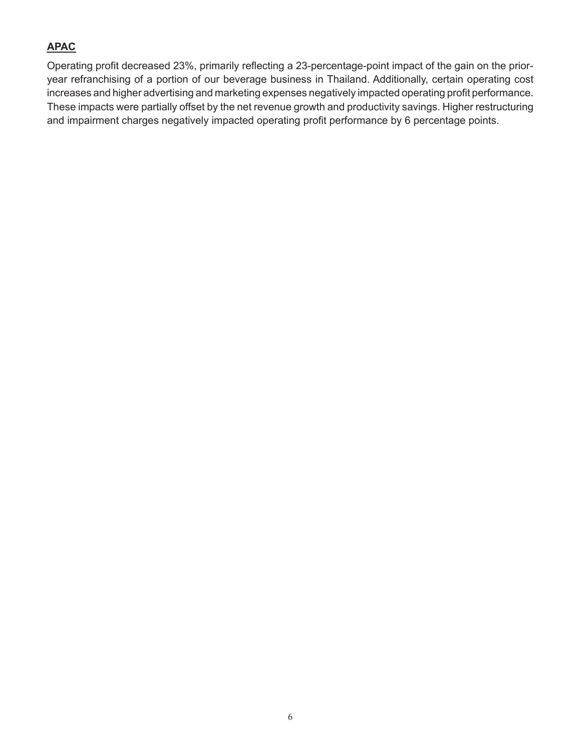## **APAC**

Operating profit decreased 23%, primarily reflecting a 23-percentage-point impact of the gain on the prioryear refranchising of a portion of our beverage business in Thailand. Additionally, certain operating cost increases and higher advertising and marketing expenses negatively impacted operating profit performance. These impacts were partially offset by the net revenue growth and productivity savings. Higher restructuring and impairment charges negatively impacted operating profit performance by 6 percentage points.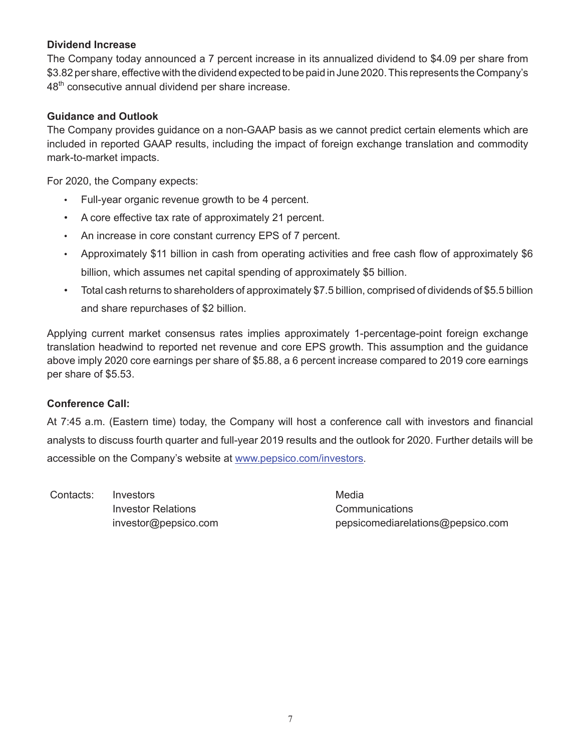### **Dividend Increase**

The Company today announced a 7 percent increase in its annualized dividend to \$4.09 per share from \$3.82 per share, effective with the dividend expected to be paid in June 2020. This represents the Company's 48<sup>th</sup> consecutive annual dividend per share increase.

### **Guidance and Outlook**

The Company provides guidance on a non-GAAP basis as we cannot predict certain elements which are included in reported GAAP results, including the impact of foreign exchange translation and commodity mark-to-market impacts.

For 2020, the Company expects:

- Full-year organic revenue growth to be 4 percent.
- A core effective tax rate of approximately 21 percent.
- An increase in core constant currency EPS of 7 percent.
- Approximately \$11 billion in cash from operating activities and free cash flow of approximately \$6 billion, which assumes net capital spending of approximately \$5 billion.
- Total cash returns to shareholders of approximately \$7.5 billion, comprised of dividends of \$5.5 billion and share repurchases of \$2 billion.

Applying current market consensus rates implies approximately 1-percentage-point foreign exchange translation headwind to reported net revenue and core EPS growth. This assumption and the guidance above imply 2020 core earnings per share of \$5.88, a 6 percent increase compared to 2019 core earnings per share of \$5.53.

### **Conference Call:**

At 7:45 a.m. (Eastern time) today, the Company will host a conference call with investors and financial analysts to discuss fourth quarter and full-year 2019 results and the outlook for 2020. Further details will be accessible on the Company's website at www.pepsico.com/investors.

Contacts: Investors **Media** and Media Investor Relations Communications

investor@pepsico.com pepsicomediarelations@pepsico.com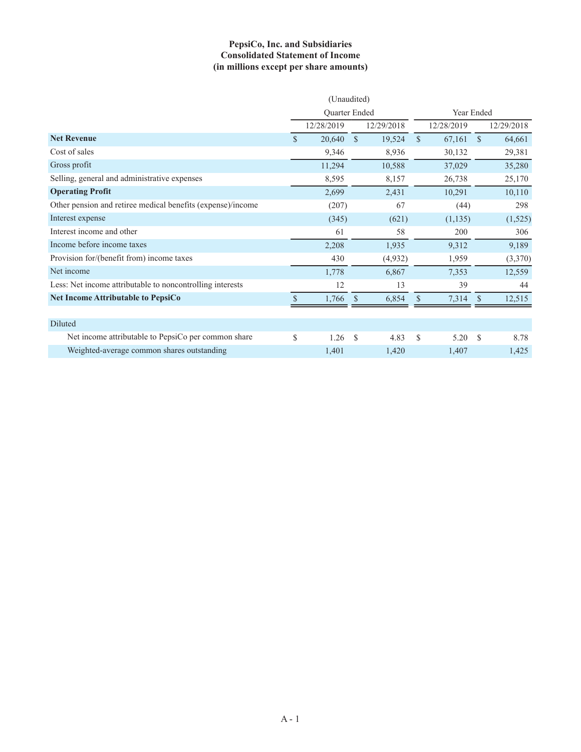### **PepsiCo, Inc. and Subsidiaries Consolidated Statement of Income (in millions except per share amounts)**

|                                                             | (Unaudited)   |            |               |            |               |            |               |            |
|-------------------------------------------------------------|---------------|------------|---------------|------------|---------------|------------|---------------|------------|
|                                                             | Quarter Ended |            |               | Year Ended |               |            |               |            |
|                                                             |               | 12/28/2019 |               | 12/29/2018 |               | 12/28/2019 |               | 12/29/2018 |
| <b>Net Revenue</b>                                          | $\mathcal{S}$ | 20,640     | $\mathcal{S}$ | 19,524     | $\mathcal{S}$ | 67,161     | $\mathcal{S}$ | 64,661     |
| Cost of sales                                               |               | 9,346      |               | 8,936      |               | 30,132     |               | 29,381     |
| Gross profit                                                |               | 11,294     |               | 10,588     |               | 37,029     |               | 35,280     |
| Selling, general and administrative expenses                |               | 8,595      |               | 8,157      |               | 26,738     |               | 25,170     |
| <b>Operating Profit</b>                                     |               | 2,699      |               | 2,431      |               | 10,291     |               | 10,110     |
| Other pension and retiree medical benefits (expense)/income |               | (207)      |               | 67         |               | (44)       |               | 298        |
| Interest expense                                            |               | (345)      |               | (621)      |               | (1,135)    |               | (1,525)    |
| Interest income and other                                   |               | 61         |               | 58         |               | 200        |               | 306        |
| Income before income taxes                                  |               | 2,208      |               | 1,935      |               | 9,312      |               | 9,189      |
| Provision for/(benefit from) income taxes                   |               | 430        |               | (4,932)    |               | 1,959      |               | (3,370)    |
| Net income                                                  |               | 1,778      |               | 6,867      |               | 7,353      |               | 12,559     |
| Less: Net income attributable to noncontrolling interests   |               | 12         |               | 13         |               | 39         |               | 44         |
| <b>Net Income Attributable to PepsiCo</b>                   | \$            | 1,766      | <sup>\$</sup> | 6,854      | \$            | 7,314      | <sup>S</sup>  | 12,515     |
|                                                             |               |            |               |            |               |            |               |            |
| Diluted                                                     |               |            |               |            |               |            |               |            |
| Net income attributable to PepsiCo per common share         | \$            | 1.26       | $\mathcal{S}$ | 4.83       | \$            | 5.20       | <sup>\$</sup> | 8.78       |
| Weighted-average common shares outstanding                  |               | 1,401      |               | 1,420      |               | 1,407      |               | 1,425      |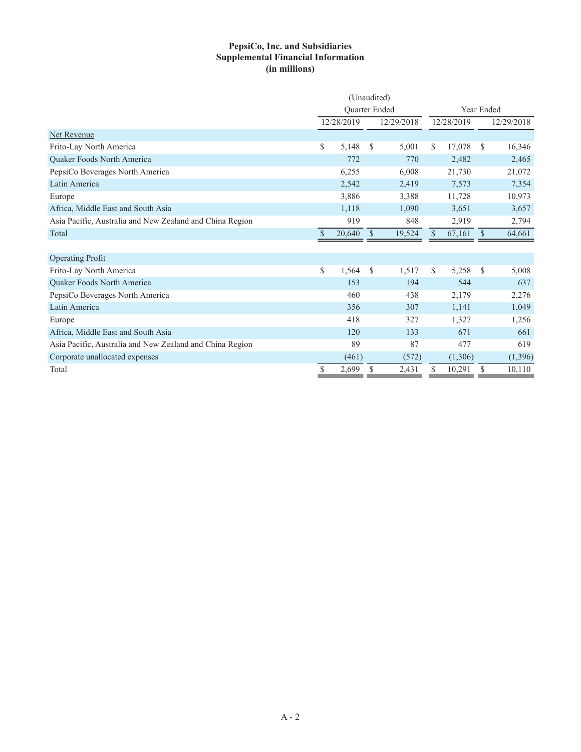### **PepsiCo, Inc. and Subsidiaries Supplemental Financial Information (in millions)**

|                                                          |               | (Unaudited) |               |            |               |            |               |            |
|----------------------------------------------------------|---------------|-------------|---------------|------------|---------------|------------|---------------|------------|
|                                                          | Quarter Ended |             |               |            |               | Year Ended |               |            |
|                                                          |               | 12/28/2019  |               | 12/29/2018 | 12/28/2019    |            |               | 12/29/2018 |
| Net Revenue                                              |               |             |               |            |               |            |               |            |
| Frito-Lay North America                                  | \$            | 5,148       | <sup>S</sup>  | 5,001      | S             | 17,078     | <sup>\$</sup> | 16,346     |
| Quaker Foods North America                               |               | 772         |               | 770        |               | 2,482      |               | 2,465      |
| PepsiCo Beverages North America                          |               | 6,255       |               | 6,008      |               | 21,730     |               | 21,072     |
| Latin America                                            |               | 2,542       |               | 2,419      |               | 7,573      |               | 7,354      |
| Europe                                                   |               | 3,886       |               | 3,388      |               | 11,728     |               | 10,973     |
| Africa, Middle East and South Asia                       |               | 1,118       |               | 1,090      |               | 3,651      |               | 3,657      |
| Asia Pacific, Australia and New Zealand and China Region |               | 919         |               | 848        |               | 2,919      |               | 2,794      |
| Total                                                    |               | 20,640      | $\mathcal{S}$ | 19,524     | $\mathcal{S}$ | 67,161     | $\mathbb{S}$  | 64,661     |
|                                                          |               |             |               |            |               |            |               |            |
| <b>Operating Profit</b>                                  |               |             |               |            |               |            |               |            |
| Frito-Lay North America                                  | \$            | 1,564       | <sup>S</sup>  | 1,517      | S.            | 5,258      | <sup>\$</sup> | 5,008      |
| Quaker Foods North America                               |               | 153         |               | 194        |               | 544        |               | 637        |
| PepsiCo Beverages North America                          |               | 460         |               | 438        |               | 2,179      |               | 2,276      |
| Latin America                                            |               | 356         |               | 307        |               | 1,141      |               | 1,049      |
| Europe                                                   |               | 418         |               | 327        |               | 1,327      |               | 1,256      |
| Africa, Middle East and South Asia                       |               | 120         |               | 133        |               | 671        |               | 661        |
| Asia Pacific, Australia and New Zealand and China Region |               | 89          |               | 87         |               | 477        |               | 619        |
| Corporate unallocated expenses                           |               | (461)       |               | (572)      |               | (1,306)    |               | (1, 396)   |
| Total                                                    | \$            | 2,699       | \$            | 2,431      | \$            | 10,291     | S             | 10,110     |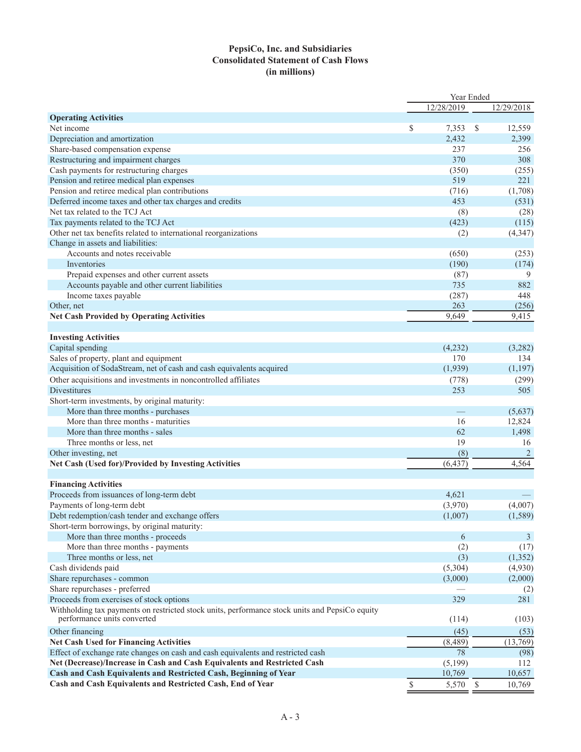### **PepsiCo, Inc. and Subsidiaries Consolidated Statement of Cash Flows (in millions)**

|                                                                                                |             | Year Ended |               |                |
|------------------------------------------------------------------------------------------------|-------------|------------|---------------|----------------|
|                                                                                                |             | 12/28/2019 |               | 12/29/2018     |
| <b>Operating Activities</b>                                                                    |             |            |               |                |
| Net income                                                                                     | \$          | 7,353      | <sup>\$</sup> | 12,559         |
| Depreciation and amortization                                                                  |             | 2,432      |               | 2,399          |
| Share-based compensation expense                                                               |             | 237        |               | 256            |
| Restructuring and impairment charges                                                           |             | 370        |               | 308            |
| Cash payments for restructuring charges                                                        |             | (350)      |               | (255)          |
| Pension and retiree medical plan expenses                                                      |             | 519        |               | 221            |
| Pension and retiree medical plan contributions                                                 |             | (716)      |               | (1,708)        |
| Deferred income taxes and other tax charges and credits                                        |             | 453        |               | (531)          |
| Net tax related to the TCJ Act                                                                 |             | (8)        |               | (28)           |
| Tax payments related to the TCJ Act                                                            |             | (423)      |               | (115)          |
| Other net tax benefits related to international reorganizations                                |             | (2)        |               | (4, 347)       |
| Change in assets and liabilities:                                                              |             |            |               |                |
| Accounts and notes receivable                                                                  |             | (650)      |               | (253)          |
| Inventories                                                                                    |             | (190)      |               | (174)          |
| Prepaid expenses and other current assets                                                      |             | (87)       |               | 9              |
| Accounts payable and other current liabilities                                                 |             | 735        |               | 882            |
| Income taxes payable                                                                           |             | (287)      |               | 448            |
| Other, net                                                                                     |             | 263        |               | (256)          |
| <b>Net Cash Provided by Operating Activities</b>                                               |             | 9,649      |               | 9,415          |
|                                                                                                |             |            |               |                |
| <b>Investing Activities</b>                                                                    |             |            |               |                |
| Capital spending                                                                               |             | (4,232)    |               | (3,282)        |
| Sales of property, plant and equipment                                                         |             | 170        |               | 134            |
| Acquisition of SodaStream, net of cash and cash equivalents acquired                           |             | (1,939)    |               | (1,197)        |
| Other acquisitions and investments in noncontrolled affiliates                                 |             | (778)      |               | (299)          |
| <b>Divestitures</b>                                                                            |             | 253        |               | 505            |
| Short-term investments, by original maturity:                                                  |             |            |               |                |
| More than three months - purchases                                                             |             |            |               | (5,637)        |
| More than three months - maturities                                                            |             | 16         |               | 12,824         |
| More than three months - sales                                                                 |             | 62         |               | 1,498          |
| Three months or less, net                                                                      |             | 19         |               | 16             |
| Other investing, net                                                                           |             | (8)        |               | $\overline{2}$ |
| Net Cash (Used for)/Provided by Investing Activities                                           |             | (6, 437)   |               | 4,564          |
|                                                                                                |             |            |               |                |
| <b>Financing Activities</b>                                                                    |             |            |               |                |
| Proceeds from issuances of long-term debt                                                      |             | 4,621      |               |                |
| Payments of long-term debt                                                                     |             | (3,970)    |               | (4,007)        |
| Debt redemption/cash tender and exchange offers                                                |             | (1,007)    |               | (1, 589)       |
| Short-term borrowings, by original maturity:                                                   |             |            |               |                |
| More than three months - proceeds                                                              |             | 6          |               | 3              |
| More than three months - payments                                                              |             | (2)        |               | (17)           |
| Three months or less, net                                                                      |             | (3)        |               | (1, 352)       |
| Cash dividends paid                                                                            |             | (5,304)    |               | (4,930)        |
| Share repurchases - common                                                                     |             | (3,000)    |               | (2,000)        |
| Share repurchases - preferred                                                                  |             |            |               | (2)            |
| Proceeds from exercises of stock options                                                       |             | 329        |               | 281            |
| Withholding tax payments on restricted stock units, performance stock units and PepsiCo equity |             |            |               |                |
| performance units converted                                                                    |             | (114)      |               | (103)          |
| Other financing                                                                                |             | (45)       |               | (53)           |
| <b>Net Cash Used for Financing Activities</b>                                                  |             | (8, 489)   |               | (13,769)       |
| Effect of exchange rate changes on cash and cash equivalents and restricted cash               |             | 78         |               | (98)           |
| Net (Decrease)/Increase in Cash and Cash Equivalents and Restricted Cash                       |             | (5,199)    |               | 112            |
| Cash and Cash Equivalents and Restricted Cash, Beginning of Year                               |             | 10,769     |               | 10,657         |
| Cash and Cash Equivalents and Restricted Cash, End of Year                                     | $\mathbb S$ | 5,570      | $\mathcal{S}$ | 10,769         |
|                                                                                                |             |            |               |                |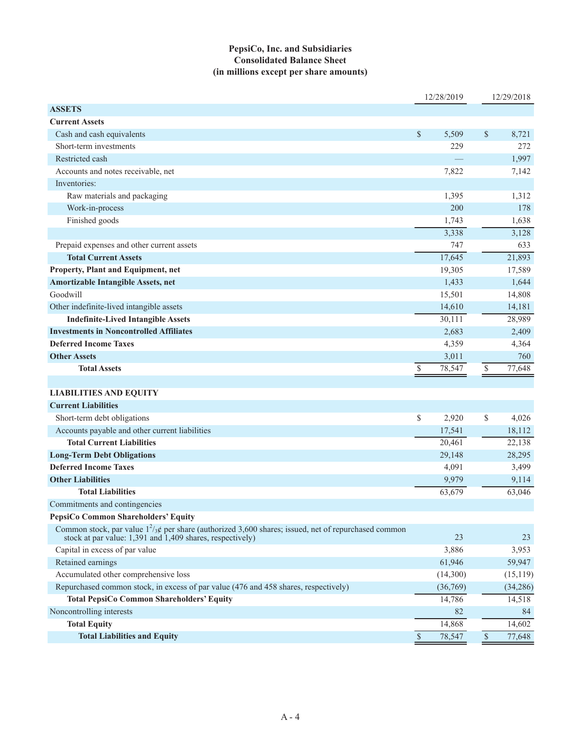### **PepsiCo, Inc. and Subsidiaries Consolidated Balance Sheet (in millions except per share amounts)**

|                                                                                                                                                                      |               | 12/28/2019 |               | 12/29/2018 |
|----------------------------------------------------------------------------------------------------------------------------------------------------------------------|---------------|------------|---------------|------------|
| <b>ASSETS</b>                                                                                                                                                        |               |            |               |            |
| <b>Current Assets</b>                                                                                                                                                |               |            |               |            |
| Cash and cash equivalents                                                                                                                                            | \$            | 5,509      | $\mathcal{S}$ | 8,721      |
| Short-term investments                                                                                                                                               |               | 229        |               | 272        |
| Restricted cash                                                                                                                                                      |               |            |               | 1,997      |
| Accounts and notes receivable, net                                                                                                                                   |               | 7,822      |               | 7,142      |
| Inventories:                                                                                                                                                         |               |            |               |            |
| Raw materials and packaging                                                                                                                                          |               | 1,395      |               | 1,312      |
| Work-in-process                                                                                                                                                      |               | 200        |               | 178        |
| Finished goods                                                                                                                                                       |               | 1,743      |               | 1,638      |
|                                                                                                                                                                      |               | 3,338      |               | 3,128      |
| Prepaid expenses and other current assets                                                                                                                            |               | 747        |               | 633        |
| <b>Total Current Assets</b>                                                                                                                                          |               | 17,645     |               | 21,893     |
| Property, Plant and Equipment, net                                                                                                                                   |               | 19,305     |               | 17,589     |
| <b>Amortizable Intangible Assets, net</b>                                                                                                                            |               | 1,433      |               | 1,644      |
| Goodwill                                                                                                                                                             |               | 15,501     |               | 14,808     |
| Other indefinite-lived intangible assets                                                                                                                             |               | 14,610     |               | 14,181     |
| <b>Indefinite-Lived Intangible Assets</b>                                                                                                                            |               | 30,111     |               | 28,989     |
| <b>Investments in Noncontrolled Affiliates</b>                                                                                                                       |               | 2,683      |               | 2,409      |
| <b>Deferred Income Taxes</b>                                                                                                                                         |               | 4,359      |               | 4,364      |
| <b>Other Assets</b>                                                                                                                                                  |               | 3,011      |               | 760        |
| <b>Total Assets</b>                                                                                                                                                  | $\mathbb{S}$  | 78,547     | $\mathbb{S}$  | 77,648     |
|                                                                                                                                                                      |               |            |               |            |
| <b>LIABILITIES AND EQUITY</b>                                                                                                                                        |               |            |               |            |
| <b>Current Liabilities</b>                                                                                                                                           |               |            |               |            |
| Short-term debt obligations                                                                                                                                          | \$            | 2,920      | \$            | 4,026      |
| Accounts payable and other current liabilities                                                                                                                       |               | 17,541     |               | 18,112     |
| <b>Total Current Liabilities</b>                                                                                                                                     |               | 20,461     |               | 22,138     |
| <b>Long-Term Debt Obligations</b>                                                                                                                                    |               | 29,148     |               | 28,295     |
| <b>Deferred Income Taxes</b>                                                                                                                                         |               | 4,091      |               | 3,499      |
| <b>Other Liabilities</b>                                                                                                                                             |               | 9,979      |               | 9,114      |
| <b>Total Liabilities</b>                                                                                                                                             |               | 63,679     |               | 63,046     |
| Commitments and contingencies                                                                                                                                        |               |            |               |            |
| PepsiCo Common Shareholders' Equity                                                                                                                                  |               |            |               |            |
| Common stock, par value $1^2/3$ g per share (authorized 3,600 shares; issued, net of repurchased common<br>stock at par value: 1,391 and 1,409 shares, respectively) |               | 23         |               | 23         |
| Capital in excess of par value                                                                                                                                       |               | 3,886      |               | 3,953      |
| Retained earnings                                                                                                                                                    |               | 61,946     |               | 59,947     |
| Accumulated other comprehensive loss                                                                                                                                 |               | (14,300)   |               | (15, 119)  |
| Repurchased common stock, in excess of par value (476 and 458 shares, respectively)                                                                                  |               | (36,769)   |               | (34, 286)  |
| <b>Total PepsiCo Common Shareholders' Equity</b>                                                                                                                     |               | 14,786     |               | 14,518     |
| Noncontrolling interests                                                                                                                                             |               | 82         |               | 84         |
| <b>Total Equity</b>                                                                                                                                                  |               | 14,868     |               | 14,602     |
| <b>Total Liabilities and Equity</b>                                                                                                                                  | $\mathcal{S}$ | 78,547     | $\mathbb{S}$  | 77,648     |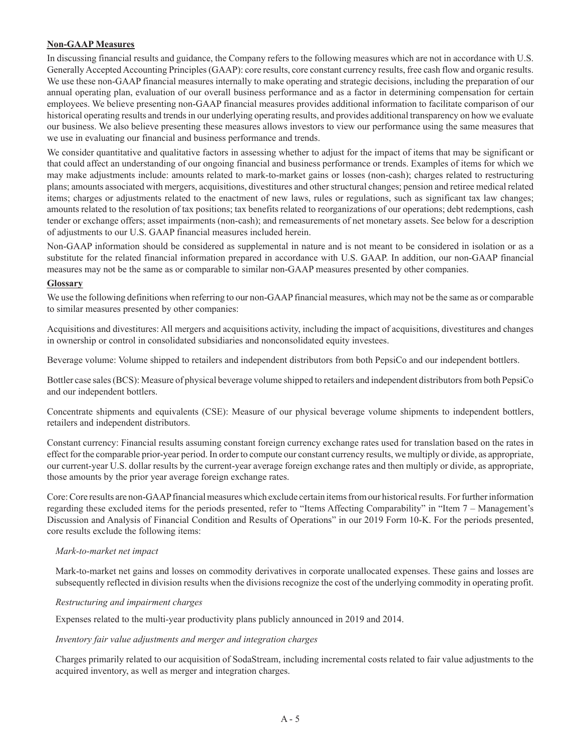### **Non-GAAP Measures**

In discussing financial results and guidance, the Company refers to the following measures which are not in accordance with U.S. Generally Accepted Accounting Principles (GAAP): core results, core constant currency results, free cash flow and organic results. We use these non-GAAP financial measures internally to make operating and strategic decisions, including the preparation of our annual operating plan, evaluation of our overall business performance and as a factor in determining compensation for certain employees. We believe presenting non-GAAP financial measures provides additional information to facilitate comparison of our historical operating results and trends in our underlying operating results, and provides additional transparency on how we evaluate our business. We also believe presenting these measures allows investors to view our performance using the same measures that we use in evaluating our financial and business performance and trends.

We consider quantitative and qualitative factors in assessing whether to adjust for the impact of items that may be significant or that could affect an understanding of our ongoing financial and business performance or trends. Examples of items for which we may make adjustments include: amounts related to mark-to-market gains or losses (non-cash); charges related to restructuring plans; amounts associated with mergers, acquisitions, divestitures and other structural changes; pension and retiree medical related items; charges or adjustments related to the enactment of new laws, rules or regulations, such as significant tax law changes; amounts related to the resolution of tax positions; tax benefits related to reorganizations of our operations; debt redemptions, cash tender or exchange offers; asset impairments (non-cash); and remeasurements of net monetary assets. See below for a description of adjustments to our U.S. GAAP financial measures included herein.

Non-GAAP information should be considered as supplemental in nature and is not meant to be considered in isolation or as a substitute for the related financial information prepared in accordance with U.S. GAAP. In addition, our non-GAAP financial measures may not be the same as or comparable to similar non-GAAP measures presented by other companies.

#### **Glossary**

We use the following definitions when referring to our non-GAAP financial measures, which may not be the same as or comparable to similar measures presented by other companies:

Acquisitions and divestitures: All mergers and acquisitions activity, including the impact of acquisitions, divestitures and changes in ownership or control in consolidated subsidiaries and nonconsolidated equity investees.

Beverage volume: Volume shipped to retailers and independent distributors from both PepsiCo and our independent bottlers.

Bottler case sales (BCS): Measure of physical beverage volume shipped to retailers and independent distributors from both PepsiCo and our independent bottlers.

Concentrate shipments and equivalents (CSE): Measure of our physical beverage volume shipments to independent bottlers, retailers and independent distributors.

Constant currency: Financial results assuming constant foreign currency exchange rates used for translation based on the rates in effect for the comparable prior-year period. In order to compute our constant currency results, we multiply or divide, as appropriate, our current-year U.S. dollar results by the current-year average foreign exchange rates and then multiply or divide, as appropriate, those amounts by the prior year average foreign exchange rates.

Core: Core results are non-GAAP financial measures which exclude certain items from our historical results. For further information regarding these excluded items for the periods presented, refer to "Items Affecting Comparability" in "Item 7 – Management's Discussion and Analysis of Financial Condition and Results of Operations" in our 2019 Form 10-K. For the periods presented, core results exclude the following items:

#### *Mark-to-market net impact*

Mark-to-market net gains and losses on commodity derivatives in corporate unallocated expenses. These gains and losses are subsequently reflected in division results when the divisions recognize the cost of the underlying commodity in operating profit.

#### *Restructuring and impairment charges*

Expenses related to the multi-year productivity plans publicly announced in 2019 and 2014.

#### *Inventory fair value adjustments and merger and integration charges*

Charges primarily related to our acquisition of SodaStream, including incremental costs related to fair value adjustments to the acquired inventory, as well as merger and integration charges.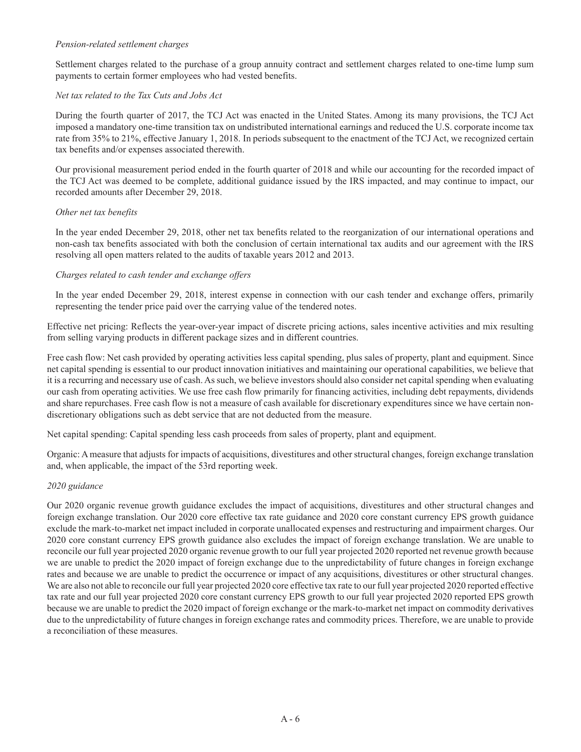#### *Pension-related settlement charges*

Settlement charges related to the purchase of a group annuity contract and settlement charges related to one-time lump sum payments to certain former employees who had vested benefits.

#### *Net tax related to the Tax Cuts and Jobs Act*

During the fourth quarter of 2017, the TCJ Act was enacted in the United States. Among its many provisions, the TCJ Act imposed a mandatory one-time transition tax on undistributed international earnings and reduced the U.S. corporate income tax rate from 35% to 21%, effective January 1, 2018. In periods subsequent to the enactment of the TCJ Act, we recognized certain tax benefits and/or expenses associated therewith.

Our provisional measurement period ended in the fourth quarter of 2018 and while our accounting for the recorded impact of the TCJ Act was deemed to be complete, additional guidance issued by the IRS impacted, and may continue to impact, our recorded amounts after December 29, 2018.

#### *Other net tax benefits*

In the year ended December 29, 2018, other net tax benefits related to the reorganization of our international operations and non-cash tax benefits associated with both the conclusion of certain international tax audits and our agreement with the IRS resolving all open matters related to the audits of taxable years 2012 and 2013.

#### *Charges related to cash tender and exchange offers*

In the year ended December 29, 2018, interest expense in connection with our cash tender and exchange offers, primarily representing the tender price paid over the carrying value of the tendered notes.

Effective net pricing: Reflects the year-over-year impact of discrete pricing actions, sales incentive activities and mix resulting from selling varying products in different package sizes and in different countries.

Free cash flow: Net cash provided by operating activities less capital spending, plus sales of property, plant and equipment. Since net capital spending is essential to our product innovation initiatives and maintaining our operational capabilities, we believe that it is a recurring and necessary use of cash. As such, we believe investors should also consider net capital spending when evaluating our cash from operating activities. We use free cash flow primarily for financing activities, including debt repayments, dividends and share repurchases. Free cash flow is not a measure of cash available for discretionary expenditures since we have certain nondiscretionary obligations such as debt service that are not deducted from the measure.

Net capital spending: Capital spending less cash proceeds from sales of property, plant and equipment.

Organic: A measure that adjusts for impacts of acquisitions, divestitures and other structural changes, foreign exchange translation and, when applicable, the impact of the 53rd reporting week.

#### *2020 guidance*

Our 2020 organic revenue growth guidance excludes the impact of acquisitions, divestitures and other structural changes and foreign exchange translation. Our 2020 core effective tax rate guidance and 2020 core constant currency EPS growth guidance exclude the mark-to-market net impact included in corporate unallocated expenses and restructuring and impairment charges. Our 2020 core constant currency EPS growth guidance also excludes the impact of foreign exchange translation. We are unable to reconcile our full year projected 2020 organic revenue growth to our full year projected 2020 reported net revenue growth because we are unable to predict the 2020 impact of foreign exchange due to the unpredictability of future changes in foreign exchange rates and because we are unable to predict the occurrence or impact of any acquisitions, divestitures or other structural changes. We are also not able to reconcile our full year projected 2020 core effective tax rate to our full year projected 2020 reported effective tax rate and our full year projected 2020 core constant currency EPS growth to our full year projected 2020 reported EPS growth because we are unable to predict the 2020 impact of foreign exchange or the mark-to-market net impact on commodity derivatives due to the unpredictability of future changes in foreign exchange rates and commodity prices. Therefore, we are unable to provide a reconciliation of these measures.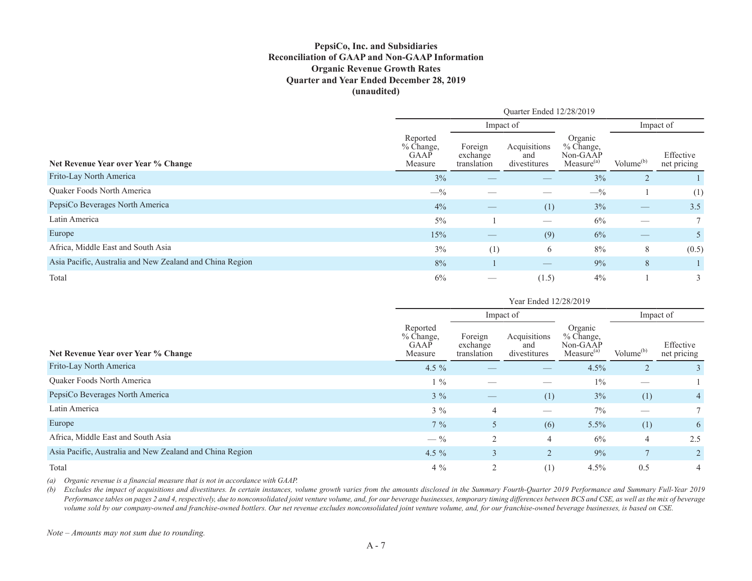### **PepsiCo, Inc. and Subsidiaries Reconciliation of GAAP and Non-GAAP Information Organic Revenue Growth Rates Quarter and Year Ended December 28, 2019 (unaudited)**

|                                                          | Quarter Ended 12/28/2019                   |                                    |                                     |                                                            |              |                          |  |  |
|----------------------------------------------------------|--------------------------------------------|------------------------------------|-------------------------------------|------------------------------------------------------------|--------------|--------------------------|--|--|
|                                                          |                                            |                                    | Impact of                           |                                                            | Impact of    |                          |  |  |
| Net Revenue Year over Year % Change                      | Reported<br>$%$ Change,<br>GAAP<br>Measure | Foreign<br>exchange<br>translation | Acquisitions<br>and<br>divestitures | Organic<br>% Change,<br>Non-GAAP<br>Measure <sup>(a)</sup> | Volume $(b)$ | Effective<br>net pricing |  |  |
| Frito-Lay North America                                  | 3%                                         |                                    |                                     | 3%                                                         |              |                          |  |  |
| Quaker Foods North America                               | $-$ %                                      |                                    |                                     | $-$ %                                                      |              | (1)                      |  |  |
| PepsiCo Beverages North America                          | 4%                                         | $\overbrace{\phantom{13333}}$      | (1)                                 | 3%                                                         |              | 3.5                      |  |  |
| Latin America                                            | 5%                                         |                                    |                                     | 6%                                                         |              |                          |  |  |
| Europe                                                   | 15%                                        | $\overbrace{\hspace{25mm}}^{}$     | (9)                                 | 6%                                                         |              | 5                        |  |  |
| Africa, Middle East and South Asia                       | 3%                                         | (1)                                | 6                                   | 8%                                                         | 8            | (0.5)                    |  |  |
| Asia Pacific, Australia and New Zealand and China Region | 8%                                         |                                    | $\overbrace{\hspace{25mm}}^{}$      | 9%                                                         | 8            |                          |  |  |
| Total                                                    | 6%                                         |                                    | (1.5)                               | 4%                                                         |              | 3                        |  |  |

|                                                          |                                            | Impact of                          |                                     |                                                            | Impact of      |                          |  |
|----------------------------------------------------------|--------------------------------------------|------------------------------------|-------------------------------------|------------------------------------------------------------|----------------|--------------------------|--|
| Net Revenue Year over Year % Change                      | Reported<br>$%$ Change,<br>GAAP<br>Measure | Foreign<br>exchange<br>translation | Acquisitions<br>and<br>divestitures | Organic<br>% Change,<br>Non-GAAP<br>Measure <sup>(a)</sup> | Volume $(b)$   | Effective<br>net pricing |  |
| Frito-Lay North America                                  | 4.5 $\%$                                   | __                                 |                                     | 4.5%                                                       | $\overline{2}$ | 3                        |  |
| <b>Ouaker Foods North America</b>                        | $1\%$                                      |                                    |                                     | $1\%$                                                      |                |                          |  |
| PepsiCo Beverages North America                          | $3\%$                                      |                                    | (1)                                 | 3%                                                         | (1)            | $4 \cdot$                |  |
| Latin America                                            | $3\%$                                      | $\overline{4}$                     | $\hspace{0.05cm}$                   | $7\%$                                                      |                |                          |  |
| Europe                                                   | $7\%$                                      | 5                                  | (6)                                 | $5.5\%$                                                    | (1)            | 6                        |  |
| Africa, Middle East and South Asia                       | $- \frac{9}{6}$                            | 2                                  | 4                                   | 6%                                                         | $\overline{4}$ | 2.5                      |  |
| Asia Pacific, Australia and New Zealand and China Region | 4.5 $%$                                    | 3                                  | $\overline{2}$                      | 9%                                                         |                |                          |  |
| Total                                                    | $4\%$                                      | 2                                  | (1)                                 | 4.5%                                                       | 0.5            | 4                        |  |

*(a) Organic revenue is a financial measure that is not in accordance with GAAP.* 

*(b) Excludes the impact of acquisitions and divestitures. In certain instances, volume growth varies from the amounts disclosed in the Summary Fourth-Quarter 2019 Performance and Summary Full-Year 2019*  Performance tables on pages 2 and 4, respectively, due to nonconsolidated joint venture volume, and, for our beverage businesses, temporary timing differences between BCS and CSE, as well as the mix of beverage *volume sold by our company-owned and franchise-owned bottlers. Our net revenue excludes nonconsolidated joint venture volume, and, for our franchise-owned beverage businesses, is based on CSE.*

*Note – Amounts may not sum due to rounding.*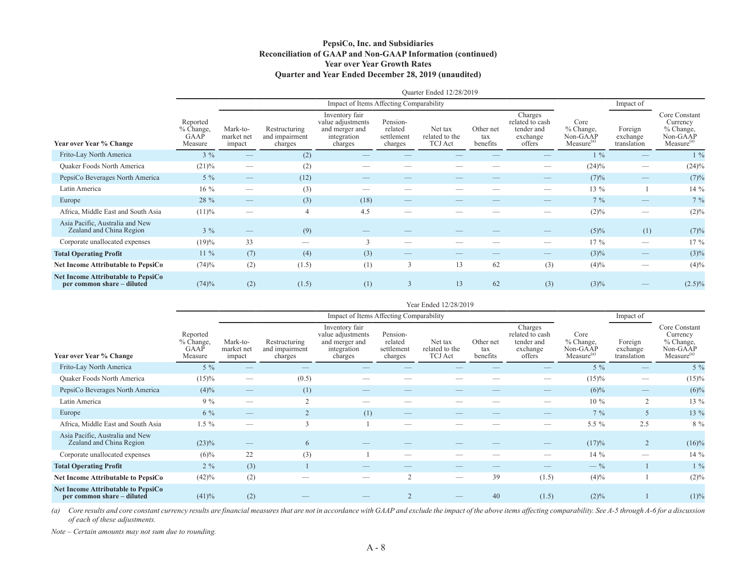#### **PepsiCo, Inc. and Subsidiaries Reconciliation of GAAP and Non-GAAP Information (continued) Year over Year Growth Rates Quarter and Year Ended December 28, 2019 (unaudited)**

|                                                                         | Quarter Ended 12/28/2019                 |                                                                                                                                                                                                                                                                                                                                                                                               |                                            |                                                                                 |                                              |                                      |                              |                                                                |                                                           |                                    |                                                                              |  |  |
|-------------------------------------------------------------------------|------------------------------------------|-----------------------------------------------------------------------------------------------------------------------------------------------------------------------------------------------------------------------------------------------------------------------------------------------------------------------------------------------------------------------------------------------|--------------------------------------------|---------------------------------------------------------------------------------|----------------------------------------------|--------------------------------------|------------------------------|----------------------------------------------------------------|-----------------------------------------------------------|------------------------------------|------------------------------------------------------------------------------|--|--|
|                                                                         |                                          |                                                                                                                                                                                                                                                                                                                                                                                               |                                            | Impact of Items Affecting Comparability                                         |                                              |                                      |                              |                                                                |                                                           | Impact of                          |                                                                              |  |  |
| <b>Year over Year % Change</b>                                          | Reported<br>% Change,<br>GAAP<br>Measure | Mark-to-<br>market net<br>impact                                                                                                                                                                                                                                                                                                                                                              | Restructuring<br>and impairment<br>charges | Inventory fair<br>value adjustments<br>and merger and<br>integration<br>charges | Pension-<br>related<br>settlement<br>charges | Net tax<br>related to the<br>TCJ Act | Other net<br>tax<br>benefits | Charges<br>related to cash<br>tender and<br>exchange<br>offers | Core<br>$%$ Change,<br>Non-GAAP<br>Measure <sup>(a)</sup> | Foreign<br>exchange<br>translation | Core Constant<br>Currency<br>% Change,<br>Non-GAAP<br>Measure <sup>(a)</sup> |  |  |
| Frito-Lay North America                                                 | $3\%$                                    |                                                                                                                                                                                                                                                                                                                                                                                               | (2)                                        |                                                                                 |                                              |                                      |                              |                                                                | $1\%$                                                     |                                    | $1\%$                                                                        |  |  |
| Quaker Foods North America                                              | $(21)\%$                                 |                                                                                                                                                                                                                                                                                                                                                                                               | (2)                                        |                                                                                 |                                              |                                      |                              |                                                                | $(24)\%$                                                  |                                    | (24)%                                                                        |  |  |
| PepsiCo Beverages North America                                         | $5\%$                                    | $\hspace{1.0cm} \overline{\hspace{1.0cm} \hspace{1.0cm} \hspace{1.0cm} } \hspace{1.0cm} \hspace{1.0cm} \overline{\hspace{1.0cm} \hspace{1.0cm} \hspace{1.0cm} } \hspace{1.0cm} \hspace{1.0cm} \overline{\hspace{1.0cm} \hspace{1.0cm} \hspace{1.0cm} } \hspace{1.0cm} \hspace{1.0cm} \overline{\hspace{1.0cm} \hspace{1.0cm} \hspace{1.0cm} } \hspace{1.0cm} \hspace{1.0cm} \hspace{1.0cm} }$ | (12)                                       |                                                                                 |                                              |                                      |                              |                                                                | (7)%                                                      |                                    | (7)%                                                                         |  |  |
| Latin America                                                           | $16\%$                                   |                                                                                                                                                                                                                                                                                                                                                                                               | (3)                                        |                                                                                 |                                              |                                      |                              |                                                                | $13\%$                                                    |                                    | 14 %                                                                         |  |  |
| Europe                                                                  | 28 %                                     |                                                                                                                                                                                                                                                                                                                                                                                               | (3)                                        | (18)                                                                            |                                              |                                      |                              |                                                                | $7\%$                                                     |                                    | 7%                                                                           |  |  |
| Africa, Middle East and South Asia                                      | (11)%                                    |                                                                                                                                                                                                                                                                                                                                                                                               | $\overline{4}$                             | 4.5                                                                             |                                              |                                      |                              |                                                                | $(2)\%$                                                   |                                    | (2)%                                                                         |  |  |
| Asia Pacific, Australia and New<br>Zealand and China Region             | $3\%$                                    | $\hspace{1.0cm} \overline{\hspace{1.0cm} \hspace{1.0cm} \hspace{1.0cm} } \hspace{1.0cm} \hspace{1.0cm} \overline{\hspace{1.0cm} \hspace{1.0cm} \hspace{1.0cm} } \hspace{1.0cm} \hspace{1.0cm} \overline{\hspace{1.0cm} \hspace{1.0cm} \hspace{1.0cm} } \hspace{1.0cm} \hspace{1.0cm} \overline{\hspace{1.0cm} \hspace{1.0cm} \hspace{1.0cm} } \hspace{1.0cm} \hspace{1.0cm} \hspace{1.0cm} }$ | (9)                                        |                                                                                 |                                              |                                      |                              | $\overline{\phantom{a}}$                                       | $(5)\%$                                                   | (1)                                | (7)%                                                                         |  |  |
| Corporate unallocated expenses                                          | (19)%                                    | 33                                                                                                                                                                                                                                                                                                                                                                                            |                                            | 3                                                                               |                                              |                                      |                              |                                                                | $17\%$                                                    |                                    | 17 %                                                                         |  |  |
| <b>Total Operating Profit</b>                                           | $11\%$                                   | (7)                                                                                                                                                                                                                                                                                                                                                                                           | (4)                                        | (3)                                                                             |                                              |                                      |                              |                                                                | $(3)\%$                                                   | __                                 | $(3)\%$                                                                      |  |  |
| <b>Net Income Attributable to PepsiCo</b>                               | (74)%                                    | (2)                                                                                                                                                                                                                                                                                                                                                                                           | (1.5)                                      | (1)                                                                             | 3                                            | 13                                   | 62                           | (3)                                                            | $(4)\%$                                                   | -                                  | $(4)\%$                                                                      |  |  |
| <b>Net Income Attributable to PepsiCo</b><br>per common share - diluted | (74)%                                    | (2)                                                                                                                                                                                                                                                                                                                                                                                           | (1.5)                                      | (1)                                                                             |                                              | 13                                   | 62                           | (3)                                                            | $(3)\%$                                                   |                                    | $(2.5)\%$                                                                    |  |  |

|                                                                  | Year Ended 12/28/2019                    |                                  |                                            |                                                                                 |                                              |                                             |                              |                                                                |                                                         |                                    |                                                                              |  |  |
|------------------------------------------------------------------|------------------------------------------|----------------------------------|--------------------------------------------|---------------------------------------------------------------------------------|----------------------------------------------|---------------------------------------------|------------------------------|----------------------------------------------------------------|---------------------------------------------------------|------------------------------------|------------------------------------------------------------------------------|--|--|
|                                                                  |                                          |                                  |                                            | Impact of Items Affecting Comparability                                         |                                              |                                             |                              |                                                                |                                                         | Impact of                          |                                                                              |  |  |
| Year over Year % Change                                          | Reported<br>% Change,<br>GAAP<br>Measure | Mark-to-<br>market net<br>impact | Restructuring<br>and impairment<br>charges | Inventory fair<br>value adjustments<br>and merger and<br>integration<br>charges | Pension-<br>related<br>settlement<br>charges | Net tax<br>related to the<br><b>TCJ</b> Act | Other net<br>tax<br>benefits | Charges<br>related to cash<br>tender and<br>exchange<br>offers | Core<br>% Change,<br>Non-GAAP<br>Measure <sup>(a)</sup> | Foreign<br>exchange<br>translation | Core Constant<br>Currency<br>% Change,<br>Non-GAAP<br>Measure <sup>(a)</sup> |  |  |
| Frito-Lay North America                                          | $5\%$                                    |                                  |                                            |                                                                                 |                                              |                                             |                              |                                                                | $5\%$                                                   |                                    | $5\%$                                                                        |  |  |
| Quaker Foods North America                                       | $(15)\%$                                 |                                  | (0.5)                                      |                                                                                 |                                              |                                             |                              |                                                                | $(15)\%$                                                |                                    | $(15)\%$                                                                     |  |  |
| PepsiCo Beverages North America                                  | $(4)\%$                                  |                                  | (1)                                        |                                                                                 |                                              |                                             |                              |                                                                | $(6)\%$                                                 |                                    | $(6)\%$                                                                      |  |  |
| Latin America                                                    | $9\%$                                    |                                  |                                            |                                                                                 |                                              |                                             |                              |                                                                | $10\%$                                                  | $\overline{2}$                     | 13 %                                                                         |  |  |
| Europe                                                           | $6\%$                                    |                                  | $\overline{2}$                             | (1)                                                                             | $\overbrace{\phantom{aaaaa}}$                |                                             |                              | $\overline{\phantom{a}}$                                       | $7\%$                                                   | 5                                  | 13 %                                                                         |  |  |
| Africa, Middle East and South Asia                               | $1.5 \%$                                 |                                  | 3                                          |                                                                                 |                                              |                                             |                              |                                                                | 5.5 $%$                                                 | 2.5                                | 8 %                                                                          |  |  |
| Asia Pacific, Australia and New<br>Zealand and China Region      | $(23)\%$                                 |                                  | 6                                          |                                                                                 |                                              |                                             |                              |                                                                | (17)%                                                   | $\overline{2}$                     | $(16)\%$                                                                     |  |  |
| Corporate unallocated expenses                                   | $(6)\%$                                  | 22                               | (3)                                        |                                                                                 |                                              |                                             |                              | __                                                             | $14\%$                                                  |                                    | 14 %                                                                         |  |  |
| <b>Total Operating Profit</b>                                    | $2\%$                                    | (3)                              |                                            |                                                                                 | $\overline{\phantom{a}}$                     |                                             | $\overline{\phantom{a}}$     |                                                                | $-$ %                                                   |                                    | $1\%$                                                                        |  |  |
| Net Income Attributable to PepsiCo                               | (42)%                                    | (2)                              |                                            |                                                                                 | $\sim$                                       |                                             | 39                           | (1.5)                                                          | $(4)\%$                                                 |                                    | $(2)\%$                                                                      |  |  |
| Net Income Attributable to PepsiCo<br>per common share – diluted | (41)%                                    | (2)                              |                                            |                                                                                 |                                              |                                             | 40                           | (1.5)                                                          | $(2)\%$                                                 |                                    | (1)%                                                                         |  |  |

*(a) Core results and core constant currency results are financial measures that are not in accordance with GAAP and exclude the impact of the above items affecting comparability. See A-5 through A-6 for a discussion of each of these adjustments.*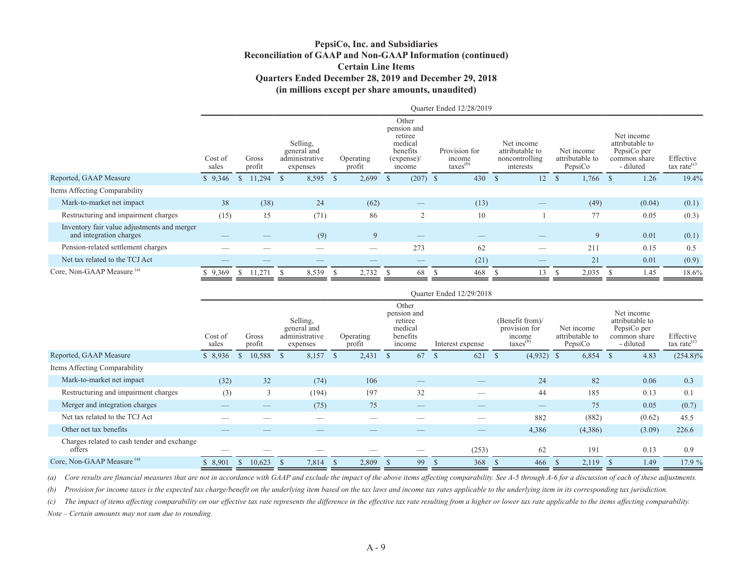### **PepsiCo, Inc. and Subsidiaries Reconciliation of GAAP and Non-GAAP Information (continued) Certain Line Items Quarters Ended December 28, 2019 and December 29, 2018 (in millions except per share amounts, unaudited)**

|                                                                        |                  |                 |                                                       |                     |                                                                               | Ouarter Ended 12/28/2019                        |                                                              |                                          |                                                                           |                             |
|------------------------------------------------------------------------|------------------|-----------------|-------------------------------------------------------|---------------------|-------------------------------------------------------------------------------|-------------------------------------------------|--------------------------------------------------------------|------------------------------------------|---------------------------------------------------------------------------|-----------------------------|
|                                                                        | Cost of<br>sales | Gross<br>profit | Selling.<br>general and<br>administrative<br>expenses | Operating<br>profit | Other<br>pension and<br>retiree<br>medical<br>benefits<br>(expense)<br>income | Provision for<br>income<br>taxes <sup>(b)</sup> | Net income<br>attributable to<br>noncontrolling<br>interests | Net income<br>attributable to<br>PepsiCo | Net income<br>attributable to<br>PepsiCo per<br>common share<br>- diluted | Effective<br>tax rate $(c)$ |
| Reported, GAAP Measure                                                 | \$9,346          | 11,294          | 8,595<br>- S                                          | 2,699<br>- \$       | $(207)$ \$<br>-8                                                              | 430                                             | 12<br>- 55                                                   | $\mathcal{S}$<br>$1,766$ \$              | 1.26                                                                      | 19.4%                       |
| Items Affecting Comparability                                          |                  |                 |                                                       |                     |                                                                               |                                                 |                                                              |                                          |                                                                           |                             |
| Mark-to-market net impact                                              | 38               | (38)            | 24                                                    | (62)                | $\overbrace{\hspace{25mm}}^{}$                                                | (13)                                            |                                                              | (49)                                     | (0.04)                                                                    | (0.1)                       |
| Restructuring and impairment charges                                   | (15)             | 15              | (71)                                                  | 86                  | $\bigcap$                                                                     | 10                                              |                                                              | 77                                       | 0.05                                                                      | (0.3)                       |
| Inventory fair value adjustments and merger<br>and integration charges |                  |                 | (9)                                                   | 9                   |                                                                               |                                                 |                                                              | 9                                        | 0.01                                                                      | (0.1)                       |
| Pension-related settlement charges                                     |                  |                 |                                                       | _                   | 273                                                                           | 62                                              | -                                                            | 211                                      | 0.15                                                                      | 0.5                         |
| Net tax related to the TCJ Act                                         |                  |                 | —                                                     |                     |                                                                               | (21)                                            |                                                              | 21                                       | 0.01                                                                      | (0.9)                       |
| Core, Non-GAAP Measure (a)                                             | 9,369            | 11,271<br>-S    | 8,539<br>- \$                                         | 2,732<br>-S         | 68                                                                            | 468<br>-S                                       | 13<br>- 75                                                   | 2,035<br>- 75                            | 1.45<br>-8                                                                | 18.6%                       |

|                                                       |                  |                 |    |                                                       |            |                     |                                                                  |               | Ouarter Ended 12/29/2018 |    |                                                                    |                                          |      |                                                                           |                                      |
|-------------------------------------------------------|------------------|-----------------|----|-------------------------------------------------------|------------|---------------------|------------------------------------------------------------------|---------------|--------------------------|----|--------------------------------------------------------------------|------------------------------------------|------|---------------------------------------------------------------------------|--------------------------------------|
|                                                       | Cost of<br>sales | Gross<br>profit |    | Selling,<br>general and<br>administrative<br>expenses |            | Operating<br>profit | Other<br>pension and<br>retiree<br>medical<br>benefits<br>income |               | Interest expense         |    | (Benefit from)/<br>provision for<br>income<br>$\text{taxes}^{(b)}$ | Net income<br>attributable to<br>PepsiCo |      | Net income<br>attributable to<br>PepsiCo per<br>common share<br>- diluted | Effective<br>$\text{tax rate}^{(c)}$ |
| Reported, GAAP Measure                                | \$8,936          | 10,588          |    | 8,157<br>- \$                                         | $^{\circ}$ | $2,431$ \$          | 67                                                               | <sup>\$</sup> | 621                      | Ъ. | $(4,932)$ \$                                                       | 6,854                                    | - 25 | 4.83                                                                      | $(254.8)\%$                          |
| Items Affecting Comparability                         |                  |                 |    |                                                       |            |                     |                                                                  |               |                          |    |                                                                    |                                          |      |                                                                           |                                      |
| Mark-to-market net impact                             | (32)             |                 | 32 | (74)                                                  |            | 106                 | $\qquad \qquad - \qquad$                                         |               |                          |    | 24                                                                 | 82                                       |      | 0.06                                                                      | 0.3                                  |
| Restructuring and impairment charges                  | (3)              |                 | 3  | (194)                                                 |            | 197                 | 32                                                               |               | —                        |    | 44                                                                 | 185                                      |      | 0.13                                                                      | 0.1                                  |
| Merger and integration charges                        |                  |                 |    | (75)                                                  |            | 75                  |                                                                  |               |                          |    | $\qquad \qquad \overline{\qquad \qquad }$                          | 75                                       |      | 0.05                                                                      | (0.7)                                |
| Net tax related to the TCJ Act                        |                  |                 |    |                                                       |            |                     |                                                                  |               |                          |    | 882                                                                | (882)                                    |      | (0.62)                                                                    | 45.5                                 |
| Other net tax benefits                                |                  |                 |    |                                                       |            |                     |                                                                  |               |                          |    | 4,386                                                              | (4,386)                                  |      | (3.09)                                                                    | 226.6                                |
| Charges related to cash tender and exchange<br>offers |                  |                 |    |                                                       |            |                     |                                                                  |               | (253)                    |    | 62                                                                 | 191                                      |      | 0.13                                                                      | 0.9                                  |
| Core, Non-GAAP Measure <sup>(a)</sup>                 | 8,901            | 10,623          |    | 7,814                                                 | $\sqrt{s}$ | 2,809               | 99                                                               | <sup>\$</sup> | 368                      |    | 466                                                                | 2,119                                    |      | 1.49                                                                      | 17.9%                                |

*(a) Core results are financial measures that are not in accordance with GAAP and exclude the impact of the above items affecting comparability. See A-5 through A-6 for a discussion of each of these adjustments.*

*(b) Provision for income taxes is the expected tax charge/benefit on the underlying item based on the tax laws and income tax rates applicable to the underlying item in its corresponding tax jurisdiction.* 

*(c) The impact of items affecting comparability on our effective tax rate represents the difference in the effective tax rate resulting from a higher or lower tax rate applicable to the items affecting comparability.*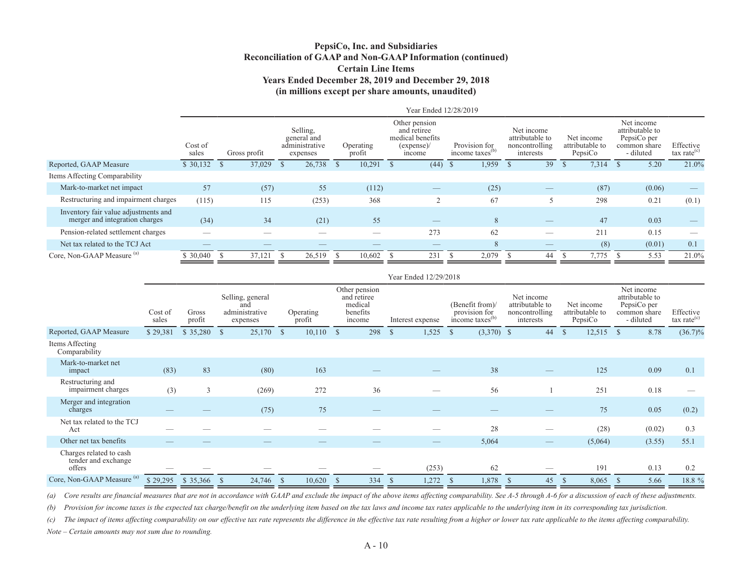### **PepsiCo, Inc. and Subsidiaries Reconciliation of GAAP and Non-GAAP Information (continued) Certain Line Items Years Ended December 28, 2019 and December 29, 2018 (in millions except per share amounts, unaudited)**

| Net income<br>attributable to                              |
|------------------------------------------------------------|
| PepsiCo per<br>Effective<br>common share<br>tax rate $(c)$ |
| 21.0%<br>5.20                                              |
|                                                            |
| (0.06)                                                     |
| 0.21<br>(0.1)                                              |
| 0.03                                                       |
| 0.15                                                       |
| (0.01)<br>0.1                                              |
| 21.0%<br>5.53                                              |
| - diluted                                                  |

|                                                          |                  |                 |              |                                                       |                     |               |                                                               |               | Year Ended 12/29/2018 |               |                                                                 |                                                              |              |                                          |               |                                                                           |                             |
|----------------------------------------------------------|------------------|-----------------|--------------|-------------------------------------------------------|---------------------|---------------|---------------------------------------------------------------|---------------|-----------------------|---------------|-----------------------------------------------------------------|--------------------------------------------------------------|--------------|------------------------------------------|---------------|---------------------------------------------------------------------------|-----------------------------|
|                                                          | Cost of<br>sales | Gross<br>profit |              | Selling, general<br>and<br>administrative<br>expenses | Operating<br>profit |               | Other pension<br>and retiree<br>medical<br>benefits<br>income |               | Interest expense      |               | (Benefit from)/<br>provision for<br>income taxes <sup>(b)</sup> | Net income<br>attributable to<br>noncontrolling<br>interests |              | Net income<br>attributable to<br>PepsiCo |               | Net income<br>attributable to<br>PepsiCo per<br>common share<br>- diluted | Effective<br>tax rate $(c)$ |
| Reported, GAAP Measure                                   | \$29,381         | \$35,280        | <sup>S</sup> | $25,170$ \$                                           | 10,110              | <sup>\$</sup> | 298                                                           | $\mathcal{S}$ | 1,525                 | <sup>\$</sup> | $(3,370)$ \$                                                    | 44                                                           | <sup>S</sup> | 12,515                                   | <sup>\$</sup> | 8.78                                                                      | $(36.7)\%$                  |
| Items Affecting<br>Comparability                         |                  |                 |              |                                                       |                     |               |                                                               |               |                       |               |                                                                 |                                                              |              |                                          |               |                                                                           |                             |
| Mark-to-market net<br>impact                             | (83)             | 83              |              | (80)                                                  | 163                 |               |                                                               |               |                       |               | 38                                                              |                                                              |              | 125                                      |               | 0.09                                                                      | 0.1                         |
| Restructuring and<br>impairment charges                  | (3)              | 3               |              | (269)                                                 | 272                 |               | 36                                                            |               |                       |               | 56                                                              |                                                              |              | 251                                      |               | 0.18                                                                      |                             |
| Merger and integration<br>charges                        |                  |                 |              | (75)                                                  | 75                  |               |                                                               |               |                       |               |                                                                 |                                                              |              | 75                                       |               | 0.05                                                                      | (0.2)                       |
| Net tax related to the TCJ<br>Act                        |                  |                 |              |                                                       |                     |               |                                                               |               |                       |               | 28                                                              |                                                              |              | (28)                                     |               | (0.02)                                                                    | 0.3                         |
| Other net tax benefits                                   |                  |                 |              |                                                       |                     |               |                                                               |               |                       |               | 5,064                                                           |                                                              |              | (5,064)                                  |               | (3.55)                                                                    | 55.1                        |
| Charges related to cash<br>tender and exchange<br>offers |                  |                 |              |                                                       |                     |               |                                                               |               | (253)                 |               | 62                                                              |                                                              |              | 191                                      |               | 0.13                                                                      | 0.2                         |
| Core, Non-GAAP Measure <sup>(a)</sup>                    | \$29,295         | \$35,366        | -S           | 24,746 \$                                             | 10,620              | <sup>\$</sup> | 334                                                           | <sup>\$</sup> | 1,272                 |               | 1,878                                                           | 45                                                           | <sup>S</sup> | 8,065                                    |               | 5.66                                                                      | 18.8 %                      |

*(a) Core results are financial measures that are not in accordance with GAAP and exclude the impact of the above items affecting comparability. See A-5 through A-6 for a discussion of each of these adjustments.*

*(b)* Provision for income taxes is the expected tax charge/benefit on the underlying item based on the tax laws and income tax rates applicable to the underlying item in its corresponding tax jurisdiction.

*(c) The impact of items affecting comparability on our effective tax rate represents the difference in the effective tax rate resulting from a higher or lower tax rate applicable to the items affecting comparability.*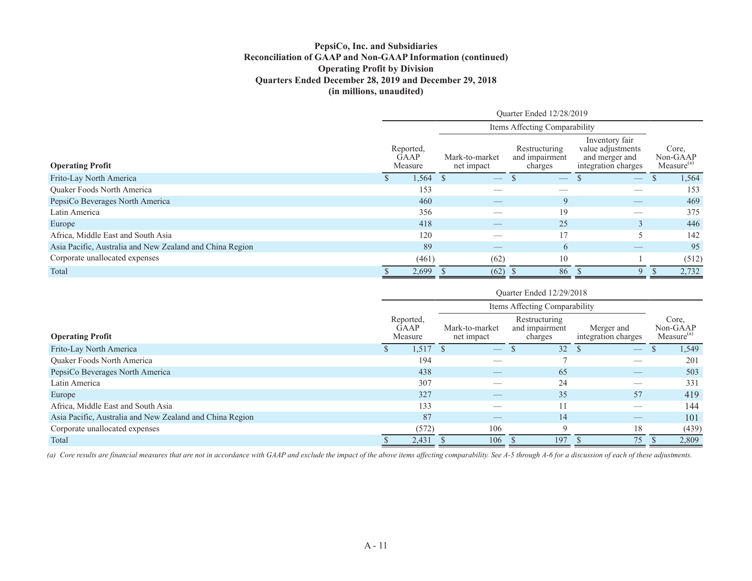### **PepsiCo, Inc. and Subsidiaries Reconciliation of GAAP and Non-GAAP Information (continued) Operating Profit by Division Quarters Ended December 28, 2019 and December 29, 2018 (in millions, unaudited)**

|                                                          | Ouarter Ended 12/28/2019 |                                     |                              |                                |                                            |                                                                              |  |                                             |  |  |  |
|----------------------------------------------------------|--------------------------|-------------------------------------|------------------------------|--------------------------------|--------------------------------------------|------------------------------------------------------------------------------|--|---------------------------------------------|--|--|--|
|                                                          |                          | Items Affecting Comparability       |                              |                                |                                            |                                                                              |  |                                             |  |  |  |
| <b>Operating Profit</b>                                  |                          | Reported,<br><b>GAAP</b><br>Measure | Mark-to-market<br>net impact |                                | Restructuring<br>and impairment<br>charges | Inventory fair<br>value adjustments<br>and merger and<br>integration charges |  | Core.<br>Non-GAAP<br>Measure <sup>(a)</sup> |  |  |  |
| Frito-Lay North America                                  |                          | 1,564                               |                              | $\overbrace{\hspace{25mm}}^{}$ |                                            | $\hspace{0.1mm}-\hspace{0.1mm}$                                              |  | 1,564                                       |  |  |  |
| <b>Ouaker Foods North America</b>                        |                          | 153                                 |                              |                                |                                            |                                                                              |  | 153                                         |  |  |  |
| PepsiCo Beverages North America                          |                          | 460                                 |                              |                                | 9                                          |                                                                              |  | 469                                         |  |  |  |
| Latin America                                            |                          | 356                                 |                              |                                | 19                                         |                                                                              |  | 375                                         |  |  |  |
| Europe                                                   |                          | 418                                 |                              |                                | 25                                         | $\mathcal{E}$                                                                |  | 446                                         |  |  |  |
| Africa, Middle East and South Asia                       |                          | 120                                 |                              | __                             |                                            |                                                                              |  | 142                                         |  |  |  |
| Asia Pacific, Australia and New Zealand and China Region |                          | 89                                  |                              |                                | 6                                          |                                                                              |  | 95                                          |  |  |  |
| Corporate unallocated expenses                           |                          | (461)                               |                              | (62)                           | 10                                         |                                                                              |  | (512)                                       |  |  |  |
| Total                                                    |                          | 2,699                               |                              | (62)                           | 86                                         | Q                                                                            |  | 2,732                                       |  |  |  |

|                                                          | Quarter Ended 12/29/2018<br>Items Affecting Comparability |                                     |                              |                                            |                                   |  |                                             |  |  |  |
|----------------------------------------------------------|-----------------------------------------------------------|-------------------------------------|------------------------------|--------------------------------------------|-----------------------------------|--|---------------------------------------------|--|--|--|
|                                                          |                                                           |                                     |                              |                                            |                                   |  |                                             |  |  |  |
| <b>Operating Profit</b>                                  |                                                           | Reported,<br><b>GAAP</b><br>Measure | Mark-to-market<br>net impact | Restructuring<br>and impairment<br>charges | Merger and<br>integration charges |  | Core,<br>Non-GAAP<br>Measure <sup>(a)</sup> |  |  |  |
| Frito-Lay North America                                  |                                                           | 1,517                               | $\overline{\phantom{m}}$     | 32                                         |                                   |  | 1,549                                       |  |  |  |
| Quaker Foods North America                               |                                                           | 194                                 |                              |                                            |                                   |  | 201                                         |  |  |  |
| PepsiCo Beverages North America                          |                                                           | 438                                 |                              | 65                                         |                                   |  | 503                                         |  |  |  |
| Latin America                                            |                                                           | 307                                 |                              | 24                                         |                                   |  | 331                                         |  |  |  |
| Europe                                                   |                                                           | 327                                 |                              | 35                                         | 57                                |  | 419                                         |  |  |  |
| Africa, Middle East and South Asia                       |                                                           | 133                                 |                              |                                            |                                   |  | 144                                         |  |  |  |
| Asia Pacific, Australia and New Zealand and China Region |                                                           | 87                                  |                              | 14                                         |                                   |  | 101                                         |  |  |  |
| Corporate unallocated expenses                           |                                                           | (572)                               | 106                          | $\Omega$                                   | 18                                |  | (439)                                       |  |  |  |
| Total                                                    |                                                           | 2,431                               | 106                          | 197                                        | 75                                |  | 2,809                                       |  |  |  |

*(a) Core results are financial measures that are not in accordance with GAAP and exclude the impact of the above items affecting comparability. See A-5 through A-6 for a discussion of each of these adjustments.*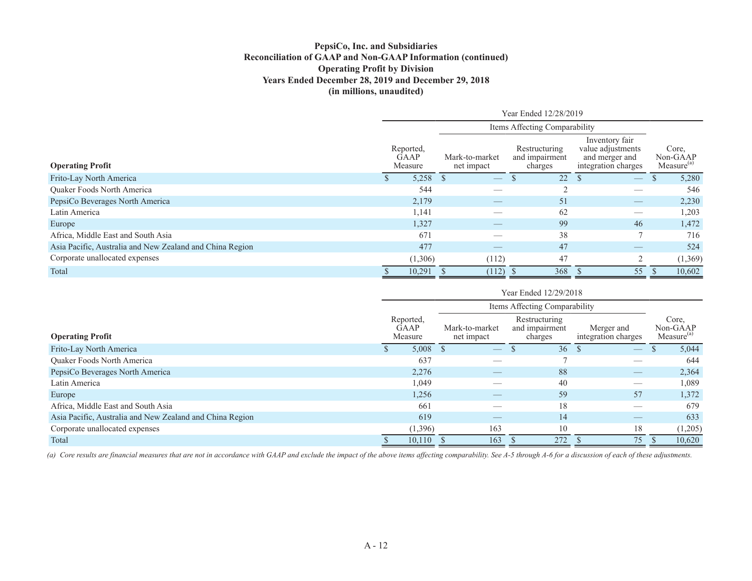### **PepsiCo, Inc. and Subsidiaries Reconciliation of GAAP and Non-GAAP Information (continued) Operating Profit by Division Years Ended December 28, 2019 and December 29, 2018 (in millions, unaudited)**

|                                                          | Year Ended 12/28/2019 |                                     |                                |                                            |                                                                              |  |                                             |  |  |  |
|----------------------------------------------------------|-----------------------|-------------------------------------|--------------------------------|--------------------------------------------|------------------------------------------------------------------------------|--|---------------------------------------------|--|--|--|
|                                                          |                       |                                     | Items Affecting Comparability  |                                            |                                                                              |  |                                             |  |  |  |
| <b>Operating Profit</b>                                  |                       | Reported,<br><b>GAAP</b><br>Measure | Mark-to-market<br>net impact   | Restructuring<br>and impairment<br>charges | Inventory fair<br>value adjustments<br>and merger and<br>integration charges |  | Core.<br>Non-GAAP<br>Measure <sup>(a)</sup> |  |  |  |
| Frito-Lay North America                                  |                       | 5,258                               | $\overbrace{\hspace{25mm}}^{}$ | 22                                         | $\overline{\phantom{m}}$                                                     |  | 5,280                                       |  |  |  |
| <b>Ouaker Foods North America</b>                        |                       | 544                                 |                                |                                            |                                                                              |  | 546                                         |  |  |  |
| PepsiCo Beverages North America                          |                       | 2,179                               |                                | 51                                         |                                                                              |  | 2,230                                       |  |  |  |
| Latin America                                            |                       | 1,141                               |                                | 62                                         |                                                                              |  | 1,203                                       |  |  |  |
| Europe                                                   |                       | 1,327                               |                                | 99                                         | 46                                                                           |  | 1,472                                       |  |  |  |
| Africa, Middle East and South Asia                       |                       | 671                                 | __                             | 38                                         |                                                                              |  | 716                                         |  |  |  |
| Asia Pacific, Australia and New Zealand and China Region |                       | 477                                 |                                | 47                                         |                                                                              |  | 524                                         |  |  |  |
| Corporate unallocated expenses                           |                       | (1,306)                             | (112)                          | 47                                         | $\overline{2}$                                                               |  | (1,369)                                     |  |  |  |
| Total                                                    |                       | 10,291                              | (112)                          | 368                                        | 55                                                                           |  | 10,602                                      |  |  |  |

|                                                          | Year Ended 12/29/2018         |                                     |                              |  |                                            |                                   |  |                                             |  |  |
|----------------------------------------------------------|-------------------------------|-------------------------------------|------------------------------|--|--------------------------------------------|-----------------------------------|--|---------------------------------------------|--|--|
|                                                          | Items Affecting Comparability |                                     |                              |  |                                            |                                   |  |                                             |  |  |
| <b>Operating Profit</b>                                  |                               | Reported,<br><b>GAAP</b><br>Measure | Mark-to-market<br>net impact |  | Restructuring<br>and impairment<br>charges | Merger and<br>integration charges |  | Core,<br>Non-GAAP<br>Measure <sup>(a)</sup> |  |  |
| Frito-Lay North America                                  |                               | 5,008                               |                              |  | 36                                         | $\overline{\phantom{m}}$          |  | 5,044                                       |  |  |
| <b>Ouaker Foods North America</b>                        |                               | 637                                 |                              |  |                                            |                                   |  | 644                                         |  |  |
| PepsiCo Beverages North America                          |                               | 2,276                               |                              |  | 88                                         |                                   |  | 2,364                                       |  |  |
| Latin America                                            |                               | 1,049                               |                              |  | 40                                         |                                   |  | 1,089                                       |  |  |
| Europe                                                   |                               | 1,256                               |                              |  | 59                                         | 57                                |  | 1,372                                       |  |  |
| Africa, Middle East and South Asia                       |                               | 661                                 |                              |  | 18                                         | __                                |  | 679                                         |  |  |
| Asia Pacific, Australia and New Zealand and China Region |                               | 619                                 |                              |  | 14                                         |                                   |  | 633                                         |  |  |
| Corporate unallocated expenses                           |                               | (1,396)                             | 163                          |  | 10                                         | 18                                |  | (1,205)                                     |  |  |
| Total                                                    |                               | 10,110                              | 163                          |  | 272                                        | 75                                |  | 10,620                                      |  |  |

*(a) Core results are financial measures that are not in accordance with GAAP and exclude the impact of the above items affecting comparability. See A-5 through A-6 for a discussion of each of these adjustments.*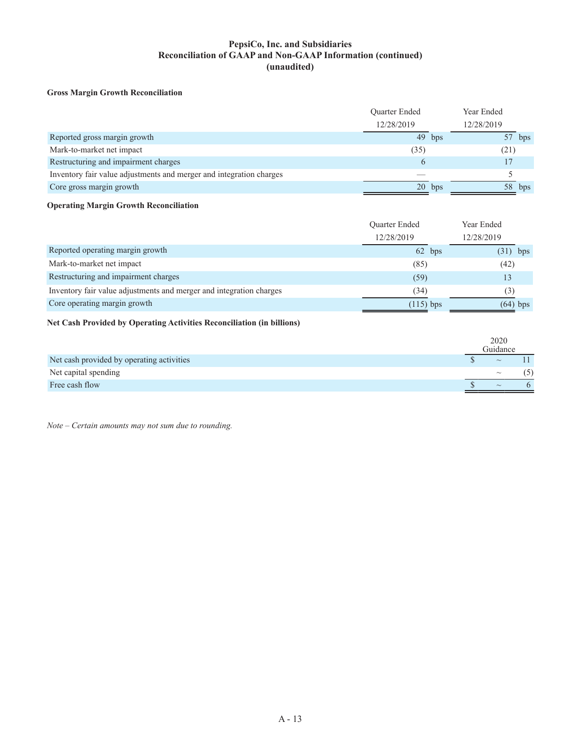### **PepsiCo, Inc. and Subsidiaries Reconciliation of GAAP and Non-GAAP Information (continued) (unaudited)**

#### **Gross Margin Growth Reconciliation**

|                                                                     | Quarter Ended |          | Year Ended |
|---------------------------------------------------------------------|---------------|----------|------------|
|                                                                     | 12/28/2019    |          | 12/28/2019 |
| Reported gross margin growth                                        |               | $49$ bps | bps        |
| Mark-to-market net impact                                           | (35)          |          | (21)       |
| Restructuring and impairment charges                                | $\sigma$      |          |            |
| Inventory fair value adjustments and merger and integration charges |               |          |            |
| Core gross margin growth                                            |               | $20$ bps | 58<br>bps  |

#### **Operating Margin Growth Reconciliation**

|                                                                     | Quarter Ended | Year Ended |
|---------------------------------------------------------------------|---------------|------------|
|                                                                     | 12/28/2019    | 12/28/2019 |
| Reported operating margin growth                                    | 62 bps        | $(31)$ bps |
| Mark-to-market net impact                                           | (85)          | (42)       |
| Restructuring and impairment charges                                | (59)          |            |
| Inventory fair value adjustments and merger and integration charges | (34)          | 3)         |
| Core operating margin growth                                        | $(115)$ bps   | $(64)$ bps |

#### **Net Cash Provided by Operating Activities Reconciliation (in billions)**

|                                           | 2020<br>Guidance |  |
|-------------------------------------------|------------------|--|
| Net cash provided by operating activities | $\sim$           |  |
| Net capital spending                      | $\sim$           |  |
| Free cash flow                            | $\sim$           |  |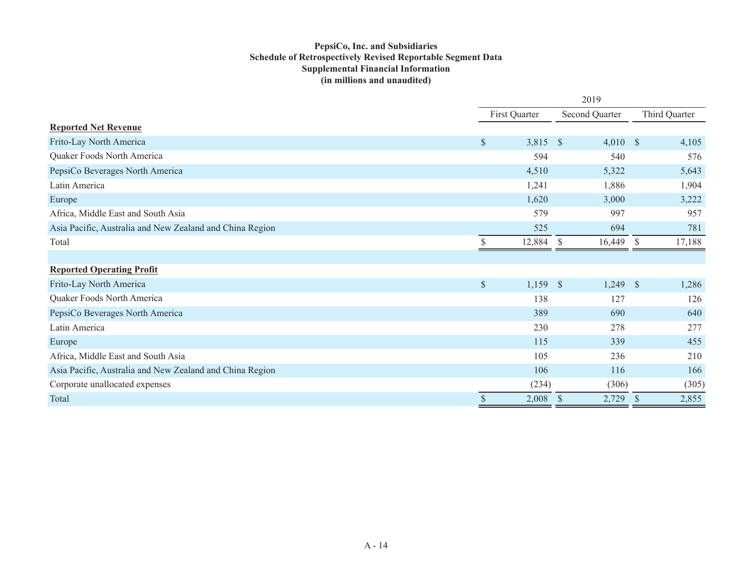### **PepsiCo, Inc. and Subsidiaries Schedule of Retrospectively Revised Reportable Segment Data Supplemental Financial Information (in millions and unaudited)**

|                                                          | 2019          |        |                      |                |                      |               |  |
|----------------------------------------------------------|---------------|--------|----------------------|----------------|----------------------|---------------|--|
|                                                          | First Quarter |        |                      | Second Quarter |                      | Third Quarter |  |
| <b>Reported Net Revenue</b>                              |               |        |                      |                |                      |               |  |
| Frito-Lay North America                                  | $\mathcal{S}$ | 3,815  | <sup>S</sup>         | 4,010          | <sup>S</sup>         | 4,105         |  |
| Quaker Foods North America                               |               | 594    |                      | 540            |                      | 576           |  |
| PepsiCo Beverages North America                          |               | 4,510  |                      | 5,322          |                      | 5,643         |  |
| Latin America                                            |               | 1,241  |                      | 1,886          |                      | 1,904         |  |
| Europe                                                   |               | 1,620  |                      | 3,000          |                      | 3,222         |  |
| Africa, Middle East and South Asia                       |               | 579    |                      | 997            |                      | 957           |  |
| Asia Pacific, Australia and New Zealand and China Region |               | 525    |                      | 694            |                      | 781           |  |
| Total                                                    |               | 12,884 | <sup>S</sup>         | 16,449         | $\mathbb{S}$         | 17,188        |  |
|                                                          |               |        |                      |                |                      |               |  |
| <b>Reported Operating Profit</b>                         |               |        |                      |                |                      |               |  |
| Frito-Lay North America                                  | $\$$          | 1,159  | $\mathcal{S}$        | 1,249          | $\mathcal{S}$        | 1,286         |  |
| Quaker Foods North America                               |               | 138    |                      | 127            |                      | 126           |  |
| PepsiCo Beverages North America                          |               | 389    |                      | 690            |                      | 640           |  |
| Latin America                                            |               | 230    |                      | 278            |                      | 277           |  |
| Europe                                                   |               | 115    |                      | 339            |                      | 455           |  |
| Africa, Middle East and South Asia                       |               | 105    |                      | 236            |                      | 210           |  |
| Asia Pacific, Australia and New Zealand and China Region |               | 106    |                      | 116            |                      | 166           |  |
| Corporate unallocated expenses                           |               | (234)  |                      | (306)          |                      | (305)         |  |
| Total                                                    | \$            | 2,008  | $\sqrt{\frac{2}{5}}$ | 2,729          | $\sqrt{\frac{2}{5}}$ | 2,855         |  |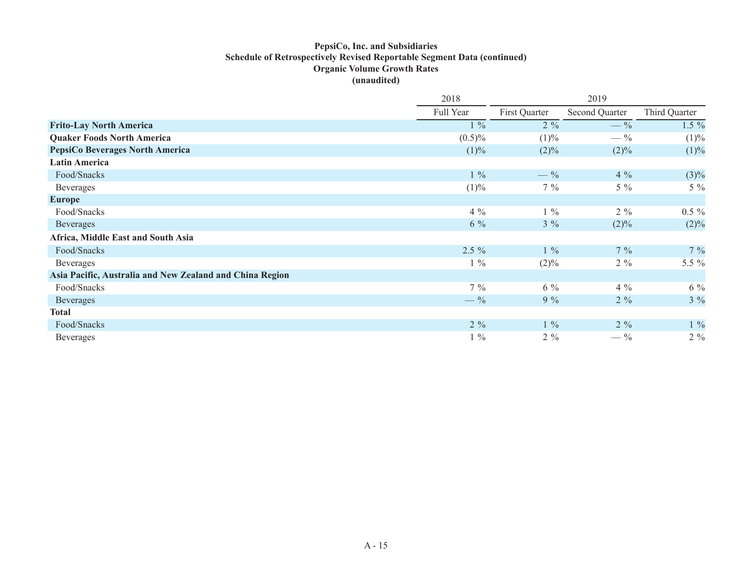### **PepsiCo, Inc. and Subsidiaries Schedule of Retrospectively Revised Reportable Segment Data (continued) Organic Volume Growth Rates (unaudited)**

|                                                          | 2018<br>2019    |                 |                 |               |  |
|----------------------------------------------------------|-----------------|-----------------|-----------------|---------------|--|
|                                                          | Full Year       | First Quarter   | Second Quarter  | Third Quarter |  |
| <b>Frito-Lay North America</b>                           | $1\%$           | $2\%$           | $- \frac{9}{6}$ | $1.5\%$       |  |
| <b>Quaker Foods North America</b>                        | $(0.5)\%$       | (1)%            | $- \frac{9}{6}$ | (1)%          |  |
| <b>PepsiCo Beverages North America</b>                   | (1)%            | $(2)\%$         | $(2)\%$         | (1)%          |  |
| <b>Latin America</b>                                     |                 |                 |                 |               |  |
| Food/Snacks                                              | $1\%$           | $- \frac{9}{6}$ | $4\%$           | $(3)\%$       |  |
| <b>Beverages</b>                                         | $(1)\%$         | $7\%$           | $5\%$           | $5\%$         |  |
| <b>Europe</b>                                            |                 |                 |                 |               |  |
| Food/Snacks                                              | $4\%$           | $1\%$           | $2\%$           | $0.5 \%$      |  |
| Beverages                                                | $6\%$           | $3\%$           | $(2)\%$         | $(2)\%$       |  |
| Africa, Middle East and South Asia                       |                 |                 |                 |               |  |
| Food/Snacks                                              | $2.5 \%$        | $1\%$           | $7\%$           | $7\%$         |  |
| <b>Beverages</b>                                         | $1\%$           | $(2)\%$         | $2\%$           | 5.5 %         |  |
| Asia Pacific, Australia and New Zealand and China Region |                 |                 |                 |               |  |
| Food/Snacks                                              | $7\%$           | $6\%$           | $4\%$           | $6\%$         |  |
| Beverages                                                | $- \frac{9}{6}$ | $9\%$           | $2\%$           | $3\%$         |  |
| Total                                                    |                 |                 |                 |               |  |
| Food/Snacks                                              | $2\%$           | $1\%$           | $2\%$           | $1 \ \%$      |  |
| <b>Beverages</b>                                         | $1\%$           | $2\%$           | $- \frac{9}{6}$ | $2\%$         |  |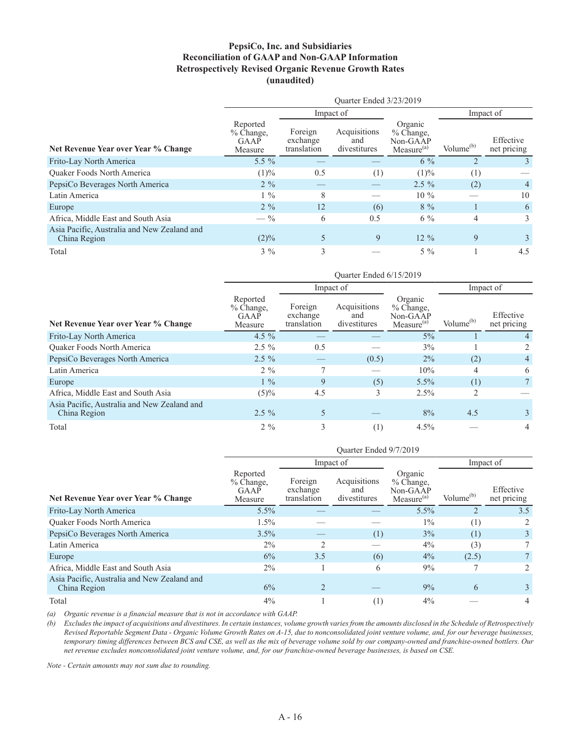### **PepsiCo, Inc. and Subsidiaries Reconciliation of GAAP and Non-GAAP Information Retrospectively Revised Organic Revenue Growth Rates (unaudited)**

|                                                             | Ouarter Ended 3/23/2019                    |                                    |                                     |                                                            |                       |                          |  |  |  |  |
|-------------------------------------------------------------|--------------------------------------------|------------------------------------|-------------------------------------|------------------------------------------------------------|-----------------------|--------------------------|--|--|--|--|
|                                                             |                                            |                                    | Impact of                           |                                                            |                       | Impact of                |  |  |  |  |
| Net Revenue Year over Year % Change                         | Reported<br>$%$ Change.<br>GAAP<br>Measure | Foreign<br>exchange<br>translation | Acquisitions<br>and<br>divestitures | Organic<br>% Change,<br>Non-GAAP<br>Measure <sup>(a)</sup> | Volume <sup>(b)</sup> | Effective<br>net pricing |  |  |  |  |
| Frito-Lay North America                                     | $5.5\%$                                    |                                    |                                     | $6\%$                                                      |                       | 3.                       |  |  |  |  |
| <b>Ouaker Foods North America</b>                           | $(1)\%$                                    | 0.5                                | (1)                                 | (1)%                                                       | (1)                   |                          |  |  |  |  |
| PepsiCo Beverages North America                             | $2\%$                                      |                                    |                                     | $2.5\%$                                                    | (2)                   | $\overline{4}$           |  |  |  |  |
| Latin America                                               | $1\%$                                      | 8                                  |                                     | $10\%$                                                     |                       | 10                       |  |  |  |  |
| Europe                                                      | $2\%$                                      | 12                                 | (6)                                 | $8\%$                                                      |                       | 6                        |  |  |  |  |
| Africa, Middle East and South Asia                          | $- \frac{9}{6}$                            | 6                                  | 0.5                                 | $6\%$                                                      | 4                     | 3                        |  |  |  |  |
| Asia Pacific, Australia and New Zealand and<br>China Region | $(2)\%$                                    | 5                                  | 9                                   | $12\%$                                                     | 9                     | $\mathcal{E}$            |  |  |  |  |
| Total                                                       | $3\%$                                      | 3                                  |                                     | $5\%$                                                      |                       | 4.5                      |  |  |  |  |

|                                                             | Ouarter Ended 6/15/2019                  |                                    |                                     |                                                              |                       |                          |  |  |  |  |
|-------------------------------------------------------------|------------------------------------------|------------------------------------|-------------------------------------|--------------------------------------------------------------|-----------------------|--------------------------|--|--|--|--|
|                                                             |                                          |                                    | Impact of                           |                                                              | Impact of             |                          |  |  |  |  |
| Net Revenue Year over Year % Change                         | Reported<br>% Change,<br>GAAP<br>Measure | Foreign<br>exchange<br>translation | Acquisitions<br>and<br>divestitures | Organic<br>$%$ Change.<br>Non-GAAP<br>Measure <sup>(a)</sup> | Volume <sup>(b)</sup> | Effective<br>net pricing |  |  |  |  |
| Frito-Lay North America                                     | 4.5 $\%$                                 |                                    |                                     | $5\%$                                                        |                       | 4                        |  |  |  |  |
| <b>Ouaker Foods North America</b>                           | $2.5\%$                                  | 0.5                                |                                     | 3%                                                           |                       | 2                        |  |  |  |  |
| PepsiCo Beverages North America                             | $2.5\%$                                  |                                    | (0.5)                               | $2\%$                                                        | (2)                   | $\overline{4}$           |  |  |  |  |
| Latin America                                               | $2\%$                                    | $\mathcal{L}$                      |                                     | 10%                                                          | 4                     | 6                        |  |  |  |  |
| Europe                                                      | $1\%$                                    | 9                                  | (5)                                 | 5.5%                                                         | (1)                   |                          |  |  |  |  |
| Africa, Middle East and South Asia                          | $(5)\%$                                  | 4.5                                | 3                                   | 2.5%                                                         | 2                     |                          |  |  |  |  |
| Asia Pacific, Australia and New Zealand and<br>China Region | $2.5\%$                                  | 5                                  |                                     | 8%                                                           | 4.5                   | 3                        |  |  |  |  |
| Total                                                       | $2\%$                                    | 3                                  | (1)                                 | $4.5\%$                                                      |                       | 4                        |  |  |  |  |

|                                                             | Ouarter Ended 9/7/2019                     |                                    |                                     |                                                              |                       |                          |  |  |  |  |
|-------------------------------------------------------------|--------------------------------------------|------------------------------------|-------------------------------------|--------------------------------------------------------------|-----------------------|--------------------------|--|--|--|--|
|                                                             |                                            |                                    | Impact of                           |                                                              |                       | Impact of                |  |  |  |  |
| Net Revenue Year over Year % Change                         | Reported<br>$%$ Change,<br>GAAP<br>Measure | Foreign<br>exchange<br>translation | Acquisitions<br>and<br>divestitures | Organic<br>$%$ Change.<br>Non-GAAP<br>Measure <sup>(a)</sup> | Volume <sup>(b)</sup> | Effective<br>net pricing |  |  |  |  |
| Frito-Lay North America                                     | 5.5%                                       |                                    |                                     | 5.5%                                                         |                       | 3.5                      |  |  |  |  |
| <b>Ouaker Foods North America</b>                           | 1.5%                                       |                                    |                                     | $1\%$                                                        | (1)                   | 2                        |  |  |  |  |
| PepsiCo Beverages North America                             | $3.5\%$                                    |                                    | (1)                                 | 3%                                                           | (1)                   | 3                        |  |  |  |  |
| Latin America                                               | $2\%$                                      | $\overline{c}$                     |                                     | 4%                                                           | (3)                   |                          |  |  |  |  |
| Europe                                                      | 6%                                         | 3.5                                | (6)                                 | $4\%$                                                        | (2.5)                 |                          |  |  |  |  |
| Africa, Middle East and South Asia                          | $2\%$                                      |                                    | 6                                   | 9%                                                           |                       | 2                        |  |  |  |  |
| Asia Pacific, Australia and New Zealand and<br>China Region | 6%                                         | $\overline{2}$                     |                                     | 9%                                                           | 6                     | 3                        |  |  |  |  |
| Total                                                       | 4%                                         |                                    | (1)                                 | 4%                                                           |                       | 4                        |  |  |  |  |

*(a) Organic revenue is a financial measure that is not in accordance with GAAP.*

*(b) Excludes the impact of acquisitions and divestitures. In certain instances, volume growth varies from the amounts disclosed in the Schedule of Retrospectively Revised Reportable Segment Data - Organic Volume Growth Rates on A-15, due to nonconsolidated joint venture volume, and, for our beverage businesses, temporary timing differences between BCS and CSE, as well as the mix of beverage volume sold by our company-owned and franchise-owned bottlers. Our net revenue excludes nonconsolidated joint venture volume, and, for our franchise-owned beverage businesses, is based on CSE.*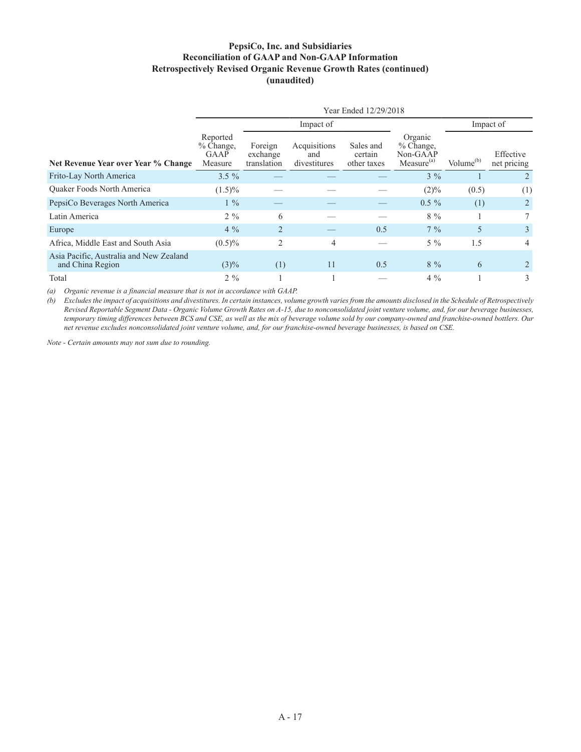### **PepsiCo, Inc. and Subsidiaries Reconciliation of GAAP and Non-GAAP Information Retrospectively Revised Organic Revenue Growth Rates (continued) (unaudited)**

|                                                             | Year Ended 12/29/2018                      |                                    |                                     |                                     |                                                              |                       |                          |  |  |  |  |  |
|-------------------------------------------------------------|--------------------------------------------|------------------------------------|-------------------------------------|-------------------------------------|--------------------------------------------------------------|-----------------------|--------------------------|--|--|--|--|--|
|                                                             |                                            |                                    | Impact of                           |                                     |                                                              |                       | Impact of                |  |  |  |  |  |
| Net Revenue Year over Year % Change                         | Reported<br>$%$ Change,<br>GAAP<br>Measure | Foreign<br>exchange<br>translation | Acquisitions<br>and<br>divestitures | Sales and<br>certain<br>other taxes | Organic<br>$%$ Change.<br>Non-GAAP<br>Measure <sup>(a)</sup> | Volume <sup>(b)</sup> | Effective<br>net pricing |  |  |  |  |  |
| Frito-Lay North America                                     | $3.5 \%$                                   |                                    |                                     |                                     | $3\%$                                                        |                       |                          |  |  |  |  |  |
| <b>Ouaker Foods North America</b>                           | $(1.5)\%$                                  |                                    |                                     |                                     | (2)%                                                         | (0.5)                 | (1)                      |  |  |  |  |  |
| PepsiCo Beverages North America                             | $1\%$                                      |                                    |                                     |                                     | $0.5\%$                                                      | (1)                   | $\overline{2}$           |  |  |  |  |  |
| Latin America                                               | $2\%$                                      | 6                                  |                                     |                                     | $8\%$                                                        |                       | $7\overline{ }$          |  |  |  |  |  |
| Europe                                                      | $4\%$                                      | $\overline{2}$                     |                                     | 0.5                                 | $7\%$                                                        | 5                     | 3                        |  |  |  |  |  |
| Africa, Middle East and South Asia                          | $(0.5)\%$                                  | 2                                  | 4                                   |                                     | $5\%$                                                        | 1.5                   | 4                        |  |  |  |  |  |
| Asia Pacific, Australia and New Zealand<br>and China Region | $(3)\%$                                    | (1)                                | 11                                  | 0.5                                 | $8\%$                                                        | 6                     |                          |  |  |  |  |  |
| Total                                                       | $2\%$                                      |                                    |                                     |                                     | $4\%$                                                        |                       | 3                        |  |  |  |  |  |

*(a) Organic revenue is a financial measure that is not in accordance with GAAP.*

*(b) Excludes the impact of acquisitions and divestitures. In certain instances, volume growth varies from the amounts disclosed in the Schedule of Retrospectively Revised Reportable Segment Data - Organic Volume Growth Rates on A-15, due to nonconsolidated joint venture volume, and, for our beverage businesses, temporary timing differences between BCS and CSE, as well as the mix of beverage volume sold by our company-owned and franchise-owned bottlers. Our net revenue excludes nonconsolidated joint venture volume, and, for our franchise-owned beverage businesses, is based on CSE.*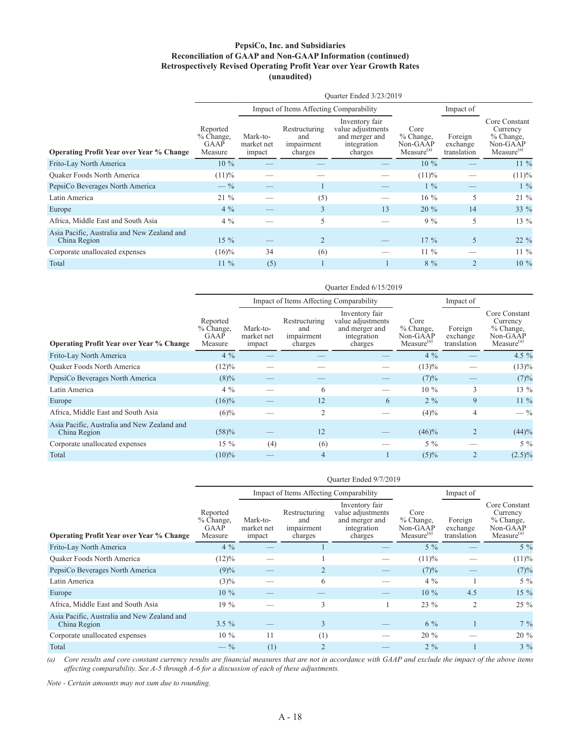#### **PepsiCo, Inc. and Subsidiaries Reconciliation of GAAP and Non-GAAP Information (continued) Retrospectively Revised Operating Profit Year over Year Growth Rates (unaudited)**

|                                                             | Ouarter Ended 3/23/2019                    |                                  |                                               |                                                                                 |                                                           |                                    |                                                                                |  |  |  |
|-------------------------------------------------------------|--------------------------------------------|----------------------------------|-----------------------------------------------|---------------------------------------------------------------------------------|-----------------------------------------------------------|------------------------------------|--------------------------------------------------------------------------------|--|--|--|
|                                                             |                                            |                                  | Impact of Items Affecting Comparability       |                                                                                 |                                                           | Impact of                          |                                                                                |  |  |  |
| <b>Operating Profit Year over Year % Change</b>             | Reported<br>$%$ Change,<br>GAAP<br>Measure | Mark-to-<br>market net<br>impact | Restructuring<br>and<br>impairment<br>charges | Inventory fair<br>value adjustments<br>and merger and<br>integration<br>charges | Core<br>$%$ Change,<br>Non-GAAP<br>Measure <sup>(a)</sup> | Foreign<br>exchange<br>translation | Core Constant<br>Currency<br>$%$ Change,<br>Non-GAAP<br>Measure <sup>(a)</sup> |  |  |  |
| Frito-Lay North America                                     | $10\%$                                     |                                  |                                               |                                                                                 | $10\%$                                                    |                                    | $11\%$                                                                         |  |  |  |
| <b>Ouaker Foods North America</b>                           | (11)%                                      |                                  |                                               |                                                                                 | (11)%                                                     |                                    | (11)%                                                                          |  |  |  |
| PepsiCo Beverages North America                             | $- \frac{9}{6}$                            |                                  |                                               |                                                                                 | $1\%$                                                     |                                    | $1\%$                                                                          |  |  |  |
| Latin America                                               | $21\%$                                     |                                  | (5)                                           |                                                                                 | 16 %                                                      | 5                                  | $21\%$                                                                         |  |  |  |
| Europe                                                      | $4\%$                                      |                                  | 3                                             | 13                                                                              | $20\%$                                                    | 14                                 | 33 %                                                                           |  |  |  |
| Africa, Middle East and South Asia                          | $4\%$                                      |                                  | 5                                             |                                                                                 | $9\%$                                                     | 5                                  | 13 %                                                                           |  |  |  |
| Asia Pacific, Australia and New Zealand and<br>China Region | $15\%$                                     |                                  | $\overline{2}$                                |                                                                                 | $17\%$                                                    | 5                                  | $22\%$                                                                         |  |  |  |
| Corporate unallocated expenses                              | $(16)\%$                                   | 34                               | (6)                                           |                                                                                 | $11\%$                                                    |                                    | $11\%$                                                                         |  |  |  |
| Total                                                       | $11\%$                                     | (5)                              |                                               |                                                                                 | $8\%$                                                     | $\overline{2}$                     | 10 %                                                                           |  |  |  |

|                                                             | Ouarter Ended 6/15/2019                           |                                  |                                               |                                                                                 |                                                           |                                    |                                                                                |  |  |  |
|-------------------------------------------------------------|---------------------------------------------------|----------------------------------|-----------------------------------------------|---------------------------------------------------------------------------------|-----------------------------------------------------------|------------------------------------|--------------------------------------------------------------------------------|--|--|--|
|                                                             |                                                   |                                  | Impact of Items Affecting Comparability       |                                                                                 |                                                           | Impact of                          |                                                                                |  |  |  |
| <b>Operating Profit Year over Year % Change</b>             | Reported<br>$%$ Change,<br><b>GAAP</b><br>Measure | Mark-to-<br>market net<br>impact | Restructuring<br>and<br>impairment<br>charges | Inventory fair<br>value adjustments<br>and merger and<br>integration<br>charges | Core<br>$%$ Change,<br>Non-GAAP<br>Measure <sup>(a)</sup> | Foreign<br>exchange<br>translation | Core Constant<br>Currency<br>$%$ Change,<br>Non-GAAP<br>Measure <sup>(a)</sup> |  |  |  |
| Frito-Lay North America                                     | $4\%$                                             |                                  |                                               |                                                                                 | $4\%$                                                     |                                    | 4.5 $%$                                                                        |  |  |  |
| <b>Ouaker Foods North America</b>                           | (12)%                                             |                                  |                                               |                                                                                 | $(13)\%$                                                  |                                    | $(13)\%$                                                                       |  |  |  |
| PepsiCo Beverages North America                             | $(8)\%$                                           |                                  |                                               |                                                                                 | (7)%                                                      |                                    | (7)%                                                                           |  |  |  |
| Latin America                                               | $4\%$                                             |                                  | 6                                             |                                                                                 | $10\%$                                                    | 3                                  | 13 %                                                                           |  |  |  |
| Europe                                                      | $(16)\%$                                          |                                  | 12                                            | 6                                                                               | $2\%$                                                     | 9                                  | $11\%$                                                                         |  |  |  |
| Africa, Middle East and South Asia                          | $(6)\%$                                           |                                  | $\overline{c}$                                |                                                                                 | $(4)\%$                                                   | $\overline{4}$                     | $-$ %                                                                          |  |  |  |
| Asia Pacific, Australia and New Zealand and<br>China Region | (58)%                                             |                                  | 12                                            |                                                                                 | $(46)\%$                                                  | 2                                  | (44)%                                                                          |  |  |  |
| Corporate unallocated expenses                              | $15\%$                                            | (4)                              | (6)                                           |                                                                                 | $5\%$                                                     |                                    | $5\%$                                                                          |  |  |  |
| Total                                                       | $(10)\%$                                          |                                  | $\overline{4}$                                |                                                                                 | $(5)\%$                                                   | $\overline{2}$                     | $(2.5)\%$                                                                      |  |  |  |

|                                                             | Quarter Ended 9/7/2019                          |                                  |                                               |                                                                                 |                                                           |                                    |                                                                              |  |  |  |  |
|-------------------------------------------------------------|-------------------------------------------------|----------------------------------|-----------------------------------------------|---------------------------------------------------------------------------------|-----------------------------------------------------------|------------------------------------|------------------------------------------------------------------------------|--|--|--|--|
|                                                             |                                                 |                                  | Impact of Items Affecting Comparability       |                                                                                 |                                                           | Impact of                          |                                                                              |  |  |  |  |
| <b>Operating Profit Year over Year % Change</b>             | Reported<br>% Change,<br><b>GAAP</b><br>Measure | Mark-to-<br>market net<br>impact | Restructuring<br>and<br>impairment<br>charges | Inventory fair<br>value adjustments<br>and merger and<br>integration<br>charges | Core<br>$%$ Change,<br>Non-GAAP<br>Measure <sup>(a)</sup> | Foreign<br>exchange<br>translation | Core Constant<br>Currency<br>% Change,<br>Non-GAAP<br>Measure <sup>(a)</sup> |  |  |  |  |
| Frito-Lay North America                                     | $4\%$                                           |                                  |                                               |                                                                                 | $5\%$                                                     |                                    | $5\%$                                                                        |  |  |  |  |
| <b>Ouaker Foods North America</b>                           | $(12)\%$                                        |                                  |                                               |                                                                                 | (11)%                                                     |                                    | (11)%                                                                        |  |  |  |  |
| PepsiCo Beverages North America                             | $(9)\%$                                         |                                  | $\overline{2}$                                |                                                                                 | (7)%                                                      |                                    | (7)%                                                                         |  |  |  |  |
| Latin America                                               | $(3)\%$                                         |                                  | 6                                             |                                                                                 | $4\%$                                                     |                                    | $5\%$                                                                        |  |  |  |  |
| Europe                                                      | $10\%$                                          |                                  |                                               |                                                                                 | $10\%$                                                    | 4.5                                | 15 %                                                                         |  |  |  |  |
| Africa, Middle East and South Asia                          | $19\%$                                          |                                  | 3                                             |                                                                                 | $23\%$                                                    | 2                                  | 25 %                                                                         |  |  |  |  |
| Asia Pacific, Australia and New Zealand and<br>China Region | $3.5\%$                                         |                                  | 3                                             |                                                                                 | $6\%$                                                     |                                    | $7\%$                                                                        |  |  |  |  |
| Corporate unallocated expenses                              | $10\%$                                          | 11                               | (1)                                           |                                                                                 | $20\%$                                                    |                                    | 20 %                                                                         |  |  |  |  |
| Total                                                       | $- \frac{9}{6}$                                 | (1)                              | $\overline{2}$                                |                                                                                 | $2\%$                                                     |                                    | $3\%$                                                                        |  |  |  |  |

*(a) Core results and core constant currency results are financial measures that are not in accordance with GAAP and exclude the impact of the above items affecting comparability. See A-5 through A-6 for a discussion of each of these adjustments.*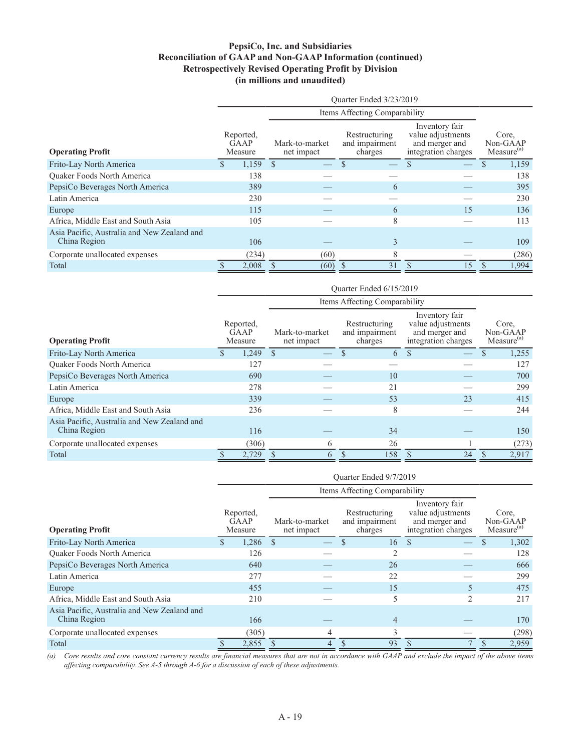### **PepsiCo, Inc. and Subsidiaries Reconciliation of GAAP and Non-GAAP Information (continued) Retrospectively Revised Operating Profit by Division (in millions and unaudited)**

|                                                             |  |                                     |  |                              | Ouarter Ended 3/23/2019                    |                                                                              |  |                                             |  |
|-------------------------------------------------------------|--|-------------------------------------|--|------------------------------|--------------------------------------------|------------------------------------------------------------------------------|--|---------------------------------------------|--|
|                                                             |  |                                     |  |                              | Items Affecting Comparability              |                                                                              |  |                                             |  |
| <b>Operating Profit</b>                                     |  | Reported,<br><b>GAAP</b><br>Measure |  | Mark-to-market<br>net impact | Restructuring<br>and impairment<br>charges | Inventory fair<br>value adjustments<br>and merger and<br>integration charges |  | Core.<br>Non-GAAP<br>Measure <sup>(a)</sup> |  |
| Frito-Lay North America                                     |  | $1,159$ \$                          |  |                              |                                            |                                                                              |  | 1,159                                       |  |
| <b>Ouaker Foods North America</b>                           |  | 138                                 |  |                              |                                            |                                                                              |  | 138                                         |  |
| PepsiCo Beverages North America                             |  | 389                                 |  |                              | 6                                          |                                                                              |  | 395                                         |  |
| Latin America                                               |  | 230                                 |  |                              |                                            |                                                                              |  | 230                                         |  |
| Europe                                                      |  | 115                                 |  |                              | 6                                          | 15                                                                           |  | 136                                         |  |
| Africa, Middle East and South Asia                          |  | 105                                 |  |                              | 8                                          |                                                                              |  | 113                                         |  |
| Asia Pacific, Australia and New Zealand and<br>China Region |  | 106                                 |  |                              | 3                                          |                                                                              |  | 109                                         |  |
| Corporate unallocated expenses                              |  | (234)                               |  | (60)                         | 8                                          |                                                                              |  | (286)                                       |  |
| Total                                                       |  | 2,008                               |  | (60)                         | 31                                         | .5                                                                           |  | 1,994                                       |  |

|                                                             | Ouarter Ended 6/15/2019             |       |                              |               |                                                                                                                            |     |               |    |                                             |       |  |
|-------------------------------------------------------------|-------------------------------------|-------|------------------------------|---------------|----------------------------------------------------------------------------------------------------------------------------|-----|---------------|----|---------------------------------------------|-------|--|
|                                                             |                                     |       |                              |               | Items Affecting Comparability                                                                                              |     |               |    |                                             |       |  |
| <b>Operating Profit</b>                                     | Reported,<br><b>GAAP</b><br>Measure |       | Mark-to-market<br>net impact |               | Inventory fair<br>value adjustments<br>Restructuring<br>and impairment<br>and merger and<br>integration charges<br>charges |     |               |    | Core,<br>Non-GAAP<br>Measure <sup>(a)</sup> |       |  |
| Frito-Lay North America                                     |                                     | 1,249 | \$.                          |               |                                                                                                                            | 6   | <sup>\$</sup> |    |                                             | 1,255 |  |
| <b>Ouaker Foods North America</b>                           |                                     | 127   |                              |               |                                                                                                                            |     |               |    |                                             | 127   |  |
| PepsiCo Beverages North America                             |                                     | 690   |                              |               |                                                                                                                            | 10  |               |    |                                             | 700   |  |
| Latin America                                               |                                     | 278   |                              |               |                                                                                                                            | 21  |               |    |                                             | 299   |  |
| Europe                                                      |                                     | 339   |                              |               |                                                                                                                            | 53  |               | 23 |                                             | 415   |  |
| Africa, Middle East and South Asia                          |                                     | 236   |                              |               |                                                                                                                            | 8   |               |    |                                             | 244   |  |
| Asia Pacific, Australia and New Zealand and<br>China Region |                                     | 116   |                              |               |                                                                                                                            | 34  |               |    |                                             | 150   |  |
| Corporate unallocated expenses                              |                                     | (306) |                              | 6             |                                                                                                                            | 26  |               |    |                                             | (273) |  |
| Total                                                       |                                     | 2,729 |                              | $\mathfrak h$ |                                                                                                                            | 158 |               | 24 |                                             | 2,917 |  |

|                                                             | Ouarter Ended 9/7/2019 |                              |                               |                                            |                                                                              |                                             |
|-------------------------------------------------------------|------------------------|------------------------------|-------------------------------|--------------------------------------------|------------------------------------------------------------------------------|---------------------------------------------|
|                                                             |                        |                              | Items Affecting Comparability |                                            |                                                                              |                                             |
| <b>Operating Profit</b>                                     |                        | Reported,<br>GAAP<br>Measure | Mark-to-market<br>net impact  | Restructuring<br>and impairment<br>charges | Inventory fair<br>value adjustments<br>and merger and<br>integration charges | Core.<br>Non-GAAP<br>Measure <sup>(a)</sup> |
| Frito-Lay North America                                     |                        | $1,286$ \$                   |                               | 16                                         | <sup>\$</sup>                                                                | 1,302                                       |
| Quaker Foods North America                                  |                        | 126                          |                               | $\overline{c}$                             |                                                                              | 128                                         |
| PepsiCo Beverages North America                             |                        | 640                          |                               | 26                                         |                                                                              | 666                                         |
| Latin America                                               |                        | 277                          |                               | 22                                         |                                                                              | 299                                         |
| Europe                                                      |                        | 455                          |                               | 15                                         |                                                                              | 475                                         |
| Africa, Middle East and South Asia                          |                        | 210                          |                               | 5                                          |                                                                              | 217                                         |
| Asia Pacific, Australia and New Zealand and<br>China Region |                        | 166                          |                               | $\overline{4}$                             |                                                                              | 170                                         |
| Corporate unallocated expenses                              |                        | (305)                        | 4                             | $\mathcal{E}$                              |                                                                              | (298)                                       |
| Total                                                       |                        | 2,855                        | 4                             | 93<br><sup>\$</sup>                        | <sup>\$</sup>                                                                | 2,959<br>$\mathcal{S}$                      |

*(a) Core results and core constant currency results are financial measures that are not in accordance with GAAP and exclude the impact of the above items affecting comparability. See A-5 through A-6 for a discussion of each of these adjustments.*